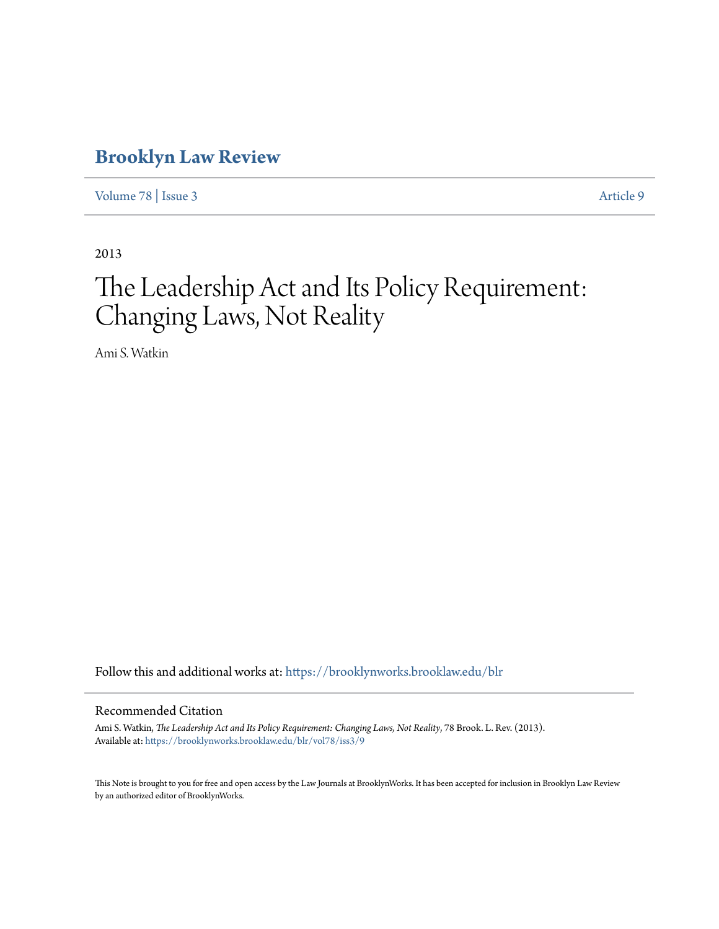# **[Brooklyn Law Review](https://brooklynworks.brooklaw.edu/blr?utm_source=brooklynworks.brooklaw.edu%2Fblr%2Fvol78%2Fiss3%2F9&utm_medium=PDF&utm_campaign=PDFCoverPages)**

[Volume 78](https://brooklynworks.brooklaw.edu/blr/vol78?utm_source=brooklynworks.brooklaw.edu%2Fblr%2Fvol78%2Fiss3%2F9&utm_medium=PDF&utm_campaign=PDFCoverPages) | [Issue 3](https://brooklynworks.brooklaw.edu/blr/vol78/iss3?utm_source=brooklynworks.brooklaw.edu%2Fblr%2Fvol78%2Fiss3%2F9&utm_medium=PDF&utm_campaign=PDFCoverPages) [Article 9](https://brooklynworks.brooklaw.edu/blr/vol78/iss3/9?utm_source=brooklynworks.brooklaw.edu%2Fblr%2Fvol78%2Fiss3%2F9&utm_medium=PDF&utm_campaign=PDFCoverPages)

2013

# The Leadership Act and Its Policy Requirement: Changing Laws, Not Reality

Ami S. Watkin

Follow this and additional works at: [https://brooklynworks.brooklaw.edu/blr](https://brooklynworks.brooklaw.edu/blr?utm_source=brooklynworks.brooklaw.edu%2Fblr%2Fvol78%2Fiss3%2F9&utm_medium=PDF&utm_campaign=PDFCoverPages)

#### Recommended Citation

Ami S. Watkin, *The Leadership Act and Its Policy Requirement: Changing Laws, Not Reality*, 78 Brook. L. Rev. (2013). Available at: [https://brooklynworks.brooklaw.edu/blr/vol78/iss3/9](https://brooklynworks.brooklaw.edu/blr/vol78/iss3/9?utm_source=brooklynworks.brooklaw.edu%2Fblr%2Fvol78%2Fiss3%2F9&utm_medium=PDF&utm_campaign=PDFCoverPages)

This Note is brought to you for free and open access by the Law Journals at BrooklynWorks. It has been accepted for inclusion in Brooklyn Law Review by an authorized editor of BrooklynWorks.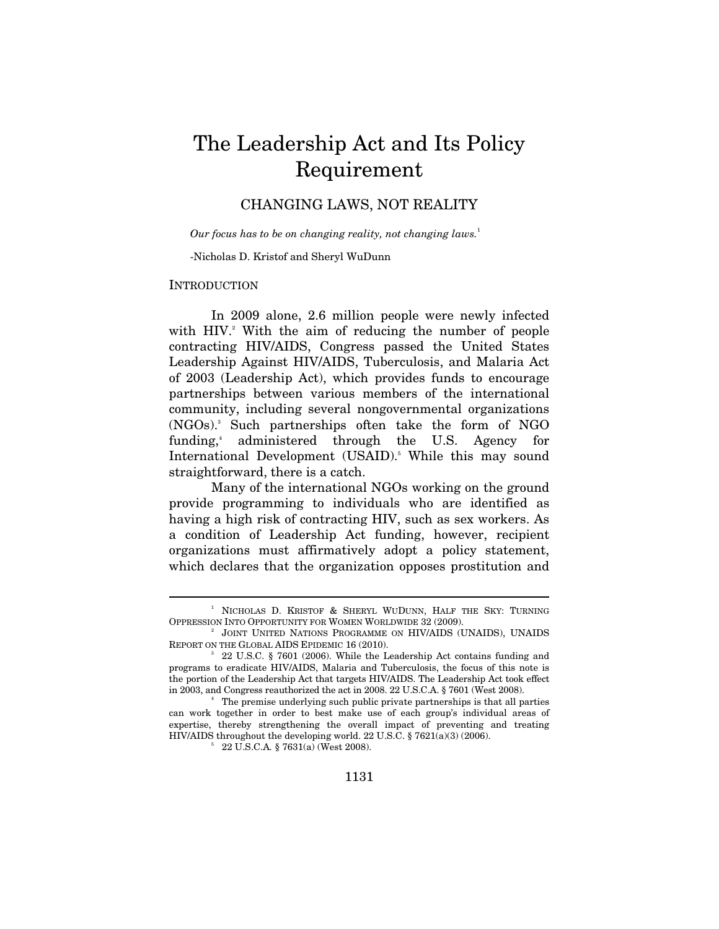# The Leadership Act and Its Policy Requirement

# CHANGING LAWS, NOT REALITY

*Our focus has to be on changing reality, not changing laws.*<sup>1</sup>

-Nicholas D. Kristof and Sheryl WuDunn

#### INTRODUCTION

 $\overline{a}$ 

In 2009 alone, 2.6 million people were newly infected with HIV.<sup>2</sup> With the aim of reducing the number of people contracting HIV/AIDS, Congress passed the United States Leadership Against HIV/AIDS, Tuberculosis, and Malaria Act of 2003 (Leadership Act), which provides funds to encourage partnerships between various members of the international community, including several nongovernmental organizations (NGOs).3 Such partnerships often take the form of NGO funding, $4$  administered through the U.S. Agency for International Development (USAID).<sup>5</sup> While this may sound straightforward, there is a catch.

Many of the international NGOs working on the ground provide programming to individuals who are identified as having a high risk of contracting HIV, such as sex workers. As a condition of Leadership Act funding, however, recipient organizations must affirmatively adopt a policy statement, which declares that the organization opposes prostitution and

<sup>1</sup> NICHOLAS D. KRISTOF & SHERYL WUDUNN, HALF THE SKY: TURNING OPPRESSION INTO OPPORTUNITY FOR WOMEN WORLDWIDE 32 (2009). 2

JOINT UNITED NATIONS PROGRAMME ON HIV/AIDS (UNAIDS), UNAIDS REPORT ON THE GLOBAL AIDS EPIDEMIC 16 (2010).

 <sup>22</sup> U.S.C. § 7601 (2006). While the Leadership Act contains funding and programs to eradicate HIV/AIDS, Malaria and Tuberculosis, the focus of this note is the portion of the Leadership Act that targets HIV/AIDS. The Leadership Act took effect in 2003, and Congress reauthorized the act in 2008. 22 U.S.C.A. § 7601 (West 2008). 4

The premise underlying such public private partnerships is that all parties can work together in order to best make use of each group's individual areas of expertise, thereby strengthening the overall impact of preventing and treating HIV/AIDS throughout the developing world. 22 U.S.C.  $§$  7621(a)(3) (2006).

 <sup>22</sup> U.S.C.A*.* § 7631(a) (West 2008).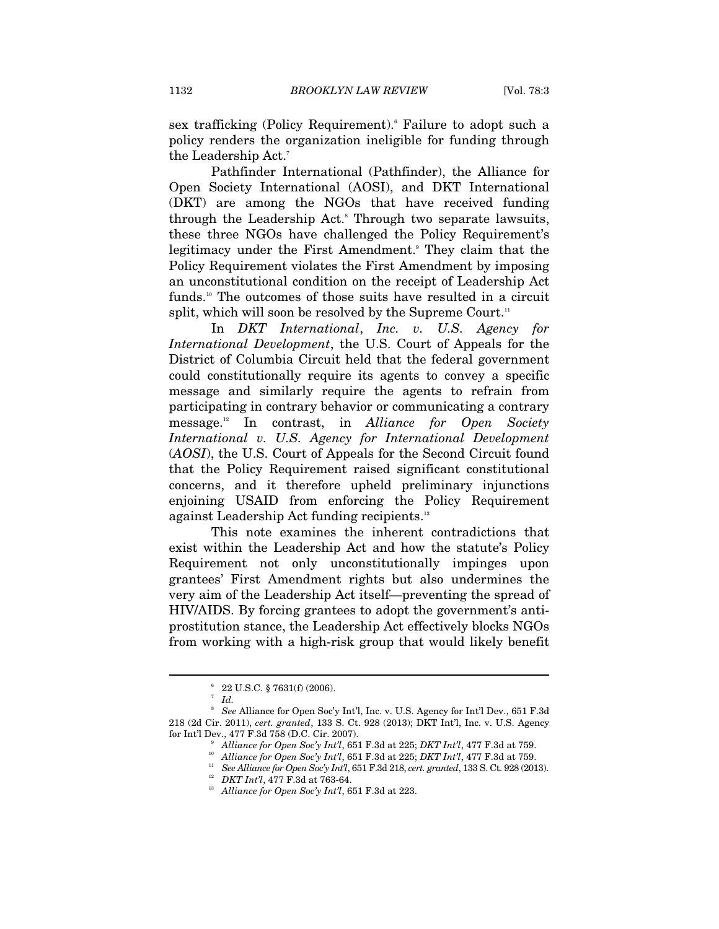sex trafficking (Policy Requirement).<sup>6</sup> Failure to adopt such a policy renders the organization ineligible for funding through the Leadership Act. $^7$ 

Pathfinder International (Pathfinder), the Alliance for Open Society International (AOSI), and DKT International (DKT) are among the NGOs that have received funding through the Leadership Act.<sup>8</sup> Through two separate lawsuits, these three NGOs have challenged the Policy Requirement's legitimacy under the First Amendment.<sup>9</sup> They claim that the Policy Requirement violates the First Amendment by imposing an unconstitutional condition on the receipt of Leadership Act funds.<sup>10</sup> The outcomes of those suits have resulted in a circuit split, which will soon be resolved by the Supreme Court.<sup>11</sup>

In *DKT International*, *Inc. v. U.S. Agency for International Development*, the U.S. Court of Appeals for the District of Columbia Circuit held that the federal government could constitutionally require its agents to convey a specific message and similarly require the agents to refrain from participating in contrary behavior or communicating a contrary message.12 In contrast, in *Alliance for Open Society International v. U.S. Agency for International Development* (*AOSI*), the U.S. Court of Appeals for the Second Circuit found that the Policy Requirement raised significant constitutional concerns, and it therefore upheld preliminary injunctions enjoining USAID from enforcing the Policy Requirement against Leadership Act funding recipients.<sup>13</sup>

This note examines the inherent contradictions that exist within the Leadership Act and how the statute's Policy Requirement not only unconstitutionally impinges upon grantees' First Amendment rights but also undermines the very aim of the Leadership Act itself—preventing the spread of HIV/AIDS. By forcing grantees to adopt the government's antiprostitution stance, the Leadership Act effectively blocks NGOs from working with a high-risk group that would likely benefit

 $^{6}$  22 U.S.C. § 7631(f) (2006).

*Id.*

<sup>8</sup>  *See* Alliance for Open Soc'y Int'l, Inc. v. U.S. Agency for Int'l Dev., 651 F.3d 218 (2d Cir. 2011), *cert. granted*, 133 S. Ct. 928 (2013); DKT Int'l, Inc. v. U.S. Agency for Int'l Dev., 477 F.3d 758 (D.C. Cir. 2007). 9

<sup>&</sup>lt;sup>9</sup> Alliance for Open Soc'y Int'l, 651 F.3d at 225; DKT Int'l, 477 F.3d at 759.<br><sup>10</sup> Alliance for Open Soc'y Int'l, 651 F.3d at 225; DKT Int'l, 477 F.3d at 759.<br><sup>11</sup> See Alliance for Open Soc'y Int'l, 651 F.3d 218, cert.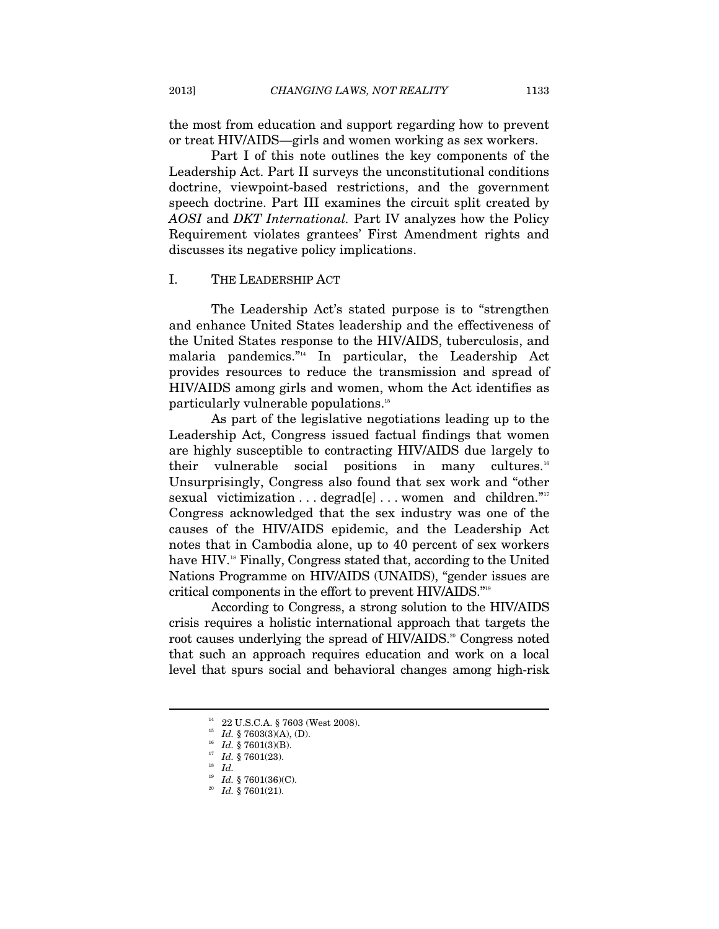the most from education and support regarding how to prevent or treat HIV/AIDS—girls and women working as sex workers.

Part I of this note outlines the key components of the Leadership Act. Part II surveys the unconstitutional conditions doctrine, viewpoint-based restrictions, and the government speech doctrine. Part III examines the circuit split created by *AOSI* and *DKT International.* Part IV analyzes how the Policy Requirement violates grantees' First Amendment rights and discusses its negative policy implications.

#### I. THE LEADERSHIP ACT

The Leadership Act's stated purpose is to "strengthen and enhance United States leadership and the effectiveness of the United States response to the HIV/AIDS, tuberculosis, and malaria pandemics."14 In particular, the Leadership Act provides resources to reduce the transmission and spread of HIV/AIDS among girls and women, whom the Act identifies as particularly vulnerable populations.15

As part of the legislative negotiations leading up to the Leadership Act, Congress issued factual findings that women are highly susceptible to contracting HIV/AIDS due largely to their vulnerable social positions in many cultures.<sup>16</sup> Unsurprisingly, Congress also found that sex work and "other sexual victimization . . . degrad[e] . . . women and children."<sup>17</sup> Congress acknowledged that the sex industry was one of the causes of the HIV/AIDS epidemic, and the Leadership Act notes that in Cambodia alone, up to 40 percent of sex workers have HIV.<sup>18</sup> Finally, Congress stated that, according to the United Nations Programme on HIV/AIDS (UNAIDS), "gender issues are critical components in the effort to prevent HIV/AIDS."19

According to Congress, a strong solution to the HIV/AIDS crisis requires a holistic international approach that targets the root causes underlying the spread of HIV/AIDS.<sup>20</sup> Congress noted that such an approach requires education and work on a local level that spurs social and behavioral changes among high-risk

<sup>14 22</sup> U.S.C.A. § 7603 (West 2008).

<sup>15</sup> *Id.* § 7603(3)(A), (D).<br><sup>16</sup> *Id.* § 7601(3)(B).<br><sup>17</sup> *Id.* § 7601(23).<br><sup>18</sup> *Id.* § 7601(36)(C).

<sup>&</sup>lt;sup>20</sup> Id. § 7601(21).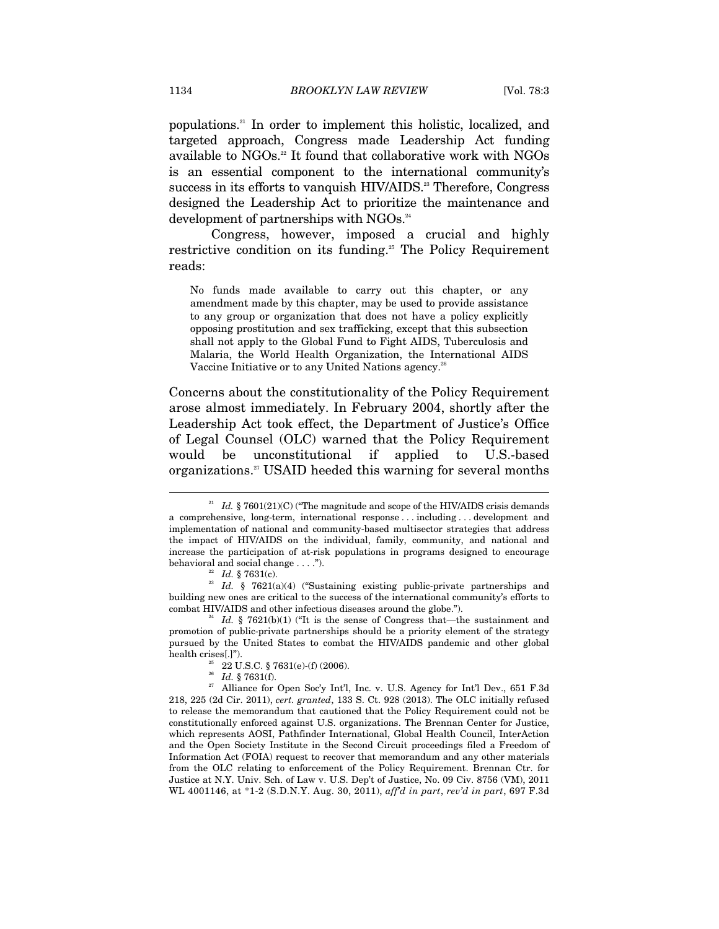populations.21 In order to implement this holistic, localized, and targeted approach, Congress made Leadership Act funding available to NGOs.<sup>22</sup> It found that collaborative work with NGOs is an essential component to the international community's success in its efforts to vanquish HIV/AIDS.<sup>23</sup> Therefore, Congress designed the Leadership Act to prioritize the maintenance and development of partnerships with NGOs.<sup>24</sup>

Congress, however, imposed a crucial and highly restrictive condition on its funding.<sup>25</sup> The Policy Requirement reads:

No funds made available to carry out this chapter, or any amendment made by this chapter, may be used to provide assistance to any group or organization that does not have a policy explicitly opposing prostitution and sex trafficking, except that this subsection shall not apply to the Global Fund to Fight AIDS, Tuberculosis and Malaria, the World Health Organization, the International AIDS Vaccine Initiative or to any United Nations agency.<sup>26</sup>

Concerns about the constitutionality of the Policy Requirement arose almost immediately. In February 2004, shortly after the Leadership Act took effect, the Department of Justice's Office of Legal Counsel (OLC) warned that the Policy Requirement would be unconstitutional if applied to U.S.-based organizations.27 USAID heeded this warning for several months

<sup>&</sup>lt;sup>21</sup> Id. § 7601(21)(C) ("The magnitude and scope of the HIV/AIDS crisis demands a comprehensive, long-term, international response . . . including . . . development and implementation of national and community-based multisector strategies that address the impact of HIV/AIDS on the individual, family, community, and national and increase the participation of at-risk populations in programs designed to encourage

behavioral and social change . . . .").<br>
<sup>22</sup> *Id.* § 7631(c).<br>
<sup>23</sup> *Id.* § 7621(a)(4) ("Sustaining existing public-private partnerships and building new ones are critical to the success of the international community's efforts to combat HIV/AIDS and other infectious diseases around the globe.").<br><sup>24</sup> *Id.* § 7621(b)(1) ("It is the sense of Congress that—the sustainment and

promotion of public-private partnerships should be a priority element of the strategy pursued by the United States to combat the HIV/AIDS pandemic and other global health crises[.]").  $^{25}$  22 U.S.C. § 7631(e)-(f) (2006).

<sup>&</sup>lt;sup>26</sup> Id. § 7631(f).<br><sup>27</sup> Alliance for Open Soc'y Int'l, Inc. v. U.S. Agency for Int'l Dev., 651 F.3d 218, 225 (2d Cir. 2011), *cert. granted*, 133 S. Ct. 928 (2013). The OLC initially refused to release the memorandum that cautioned that the Policy Requirement could not be constitutionally enforced against U.S. organizations. The Brennan Center for Justice, which represents AOSI, Pathfinder International, Global Health Council, InterAction and the Open Society Institute in the Second Circuit proceedings filed a Freedom of Information Act (FOIA) request to recover that memorandum and any other materials from the OLC relating to enforcement of the Policy Requirement. Brennan Ctr. for Justice at N.Y. Univ. Sch. of Law v. U.S. Dep't of Justice, No. 09 Civ. 8756 (VM), 2011 WL 4001146, at \*1-2 (S.D.N.Y. Aug. 30, 2011), *aff'd in part*, *rev'd in part*, 697 F.3d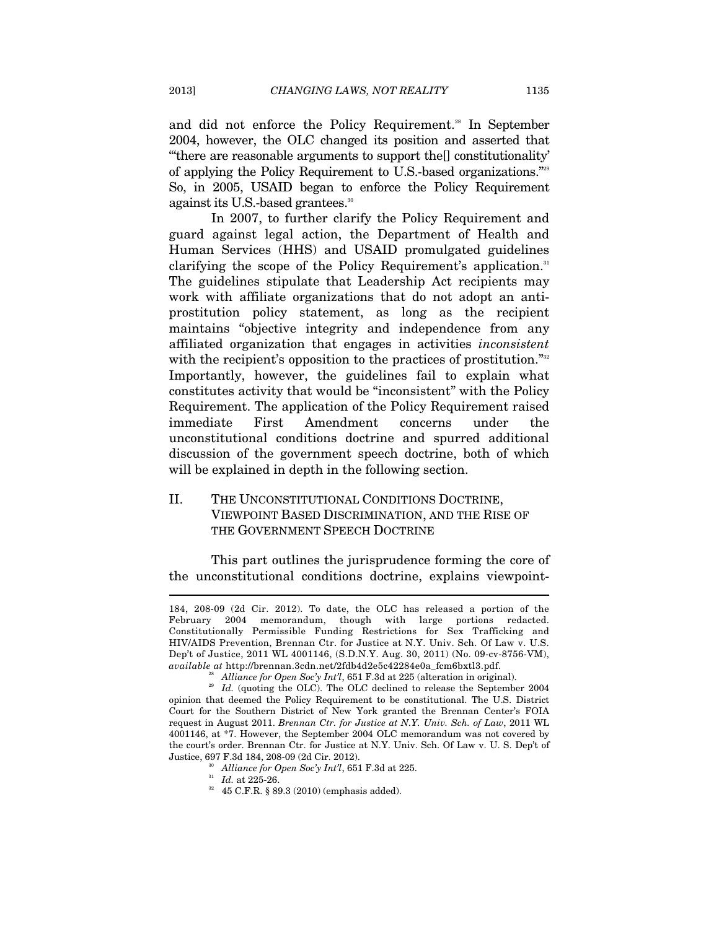and did not enforce the Policy Requirement.<sup>28</sup> In September 2004, however, the OLC changed its position and asserted that "'there are reasonable arguments to support the[] constitutionality' of applying the Policy Requirement to U.S.-based organizations."29 So, in 2005, USAID began to enforce the Policy Requirement against its U.S.-based grantees.<sup>30</sup>

In 2007, to further clarify the Policy Requirement and guard against legal action, the Department of Health and Human Services (HHS) and USAID promulgated guidelines clarifying the scope of the Policy Requirement's application.<sup>31</sup> The guidelines stipulate that Leadership Act recipients may work with affiliate organizations that do not adopt an antiprostitution policy statement, as long as the recipient maintains "objective integrity and independence from any affiliated organization that engages in activities *inconsistent*  with the recipient's opposition to the practices of prostitution."<sup>32</sup> Importantly, however, the guidelines fail to explain what constitutes activity that would be "inconsistent" with the Policy Requirement. The application of the Policy Requirement raised immediate First Amendment concerns under the unconstitutional conditions doctrine and spurred additional discussion of the government speech doctrine, both of which will be explained in depth in the following section.

# II. THE UNCONSTITUTIONAL CONDITIONS DOCTRINE, VIEWPOINT BASED DISCRIMINATION, AND THE RISE OF THE GOVERNMENT SPEECH DOCTRINE

This part outlines the jurisprudence forming the core of the unconstitutional conditions doctrine, explains viewpoint-

<sup>184, 208-09 (2</sup>d Cir. 2012). To date, the OLC has released a portion of the February 2004 memorandum, though with large portions redacted. Constitutionally Permissible Funding Restrictions for Sex Trafficking and HIV/AIDS Prevention, Brennan Ctr. for Justice at N.Y. Univ. Sch. Of Law v. U.S. Dep't of Justice, 2011 WL 4001146, (S.D.N.Y. Aug. 30, 2011) (No. 09-cv-8756-VM),  $available~att~http://brennan.3cdn.net/2fdb4d2e5c42284e0a\_fcm6bxtl3.pdf.\\ ^{28}Alliance for Open Soc'y Int'l, 651 F.3d at 225 (alternation in original).\\ ^{29}Id. (quoting the OLC). The OLC declined to release the September 2004$ 

opinion that deemed the Policy Requirement to be constitutional. The U.S. District Court for the Southern District of New York granted the Brennan Center's FOIA request in August 2011. *Brennan Ctr. for Justice at N.Y. Univ. Sch. of Law*, 2011 WL 4001146, at \*7. However, the September 2004 OLC memorandum was not covered by the court's order. Brennan Ctr. for Justice at N.Y. Univ. Sch. Of Law v. U. S. Dep't of Justice, 697 F.3d 184, 208-09 (2d Cir. 2012).

<sup>&</sup>lt;sup>30</sup> Alliance for Open Soc'y Int'l, 651 F.3d at 225.<br><sup>31</sup> Id. at 225-26.<br><sup>32</sup> 45 C.F.R. § 89.3 (2010) (emphasis added).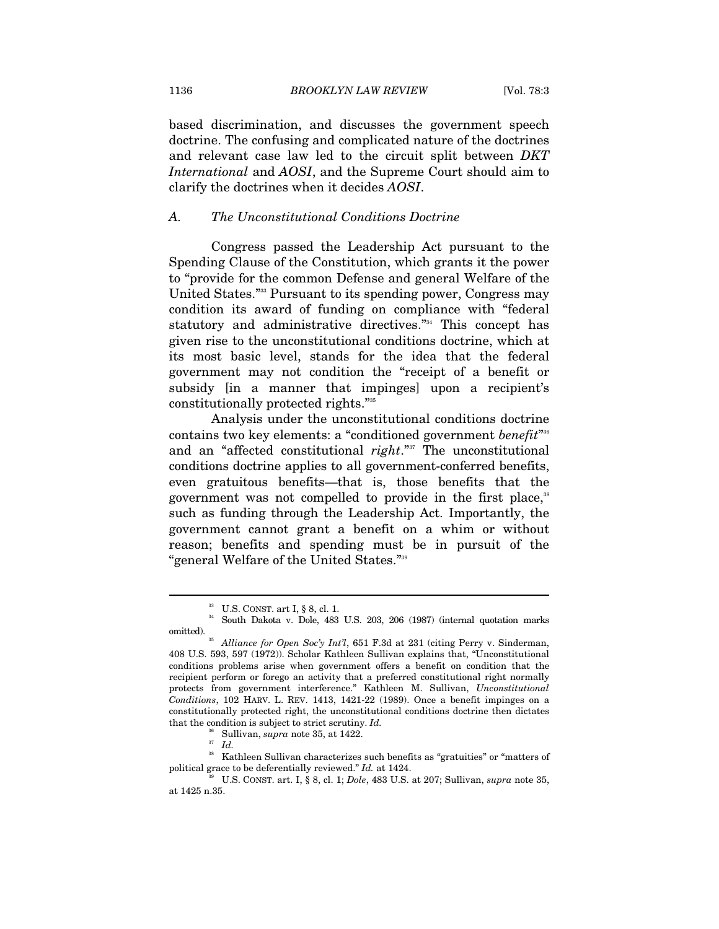based discrimination, and discusses the government speech doctrine. The confusing and complicated nature of the doctrines and relevant case law led to the circuit split between *DKT International* and *AOSI*, and the Supreme Court should aim to clarify the doctrines when it decides *AOSI*.

#### *A. The Unconstitutional Conditions Doctrine*

Congress passed the Leadership Act pursuant to the Spending Clause of the Constitution, which grants it the power to "provide for the common Defense and general Welfare of the United States."33 Pursuant to its spending power, Congress may condition its award of funding on compliance with "federal statutory and administrative directives."34 This concept has given rise to the unconstitutional conditions doctrine, which at its most basic level, stands for the idea that the federal government may not condition the "receipt of a benefit or subsidy [in a manner that impinges] upon a recipient's constitutionally protected rights."35

Analysis under the unconstitutional conditions doctrine contains two key elements: a "conditioned government *benefit*" 36 and an "affected constitutional *right*."37 The unconstitutional conditions doctrine applies to all government-conferred benefits, even gratuitous benefits—that is, those benefits that the government was not compelled to provide in the first place,<sup>38</sup> such as funding through the Leadership Act. Importantly, the government cannot grant a benefit on a whim or without reason; benefits and spending must be in pursuit of the "general Welfare of the United States."39

36 Sullivan, *supra* note 35, at 1422. 37 *Id.*

 $\overline{a}$ 

<sup>38</sup> Kathleen Sullivan characterizes such benefits as "gratuities" or "matters of political grace to be deferentially reviewed." *Id.* at  $1424$ .

 $^{33}$  U.S. CONST. art I, § 8, cl. 1.  $^{34}$  South Dakota v. Dole, 483 U.S. 203, 206 (1987) (internal quotation marks

omitted).<br><sup>35</sup> Alliance for Open Soc'y Int'l, 651 F.3d at 231 (citing Perry v. Sinderman, 408 U.S. 593, 597 (1972)). Scholar Kathleen Sullivan explains that, "Unconstitutional conditions problems arise when government offers a benefit on condition that the recipient perform or forego an activity that a preferred constitutional right normally protects from government interference." Kathleen M. Sullivan, *Unconstitutional Conditions*, 102 HARV. L. REV. 1413, 1421-22 (1989). Once a benefit impinges on a constitutionally protected right, the unconstitutional conditions doctrine then dictates that the condition is subject to strict scrutiny. *Id.*

political grace to be deferentially reviewed." *Id.* at 1424. 39 U.S. CONST. art. I, § 8, cl. 1; *Dole*, 483 U.S. at 207; Sullivan, *supra* note 35, at 1425 n.35.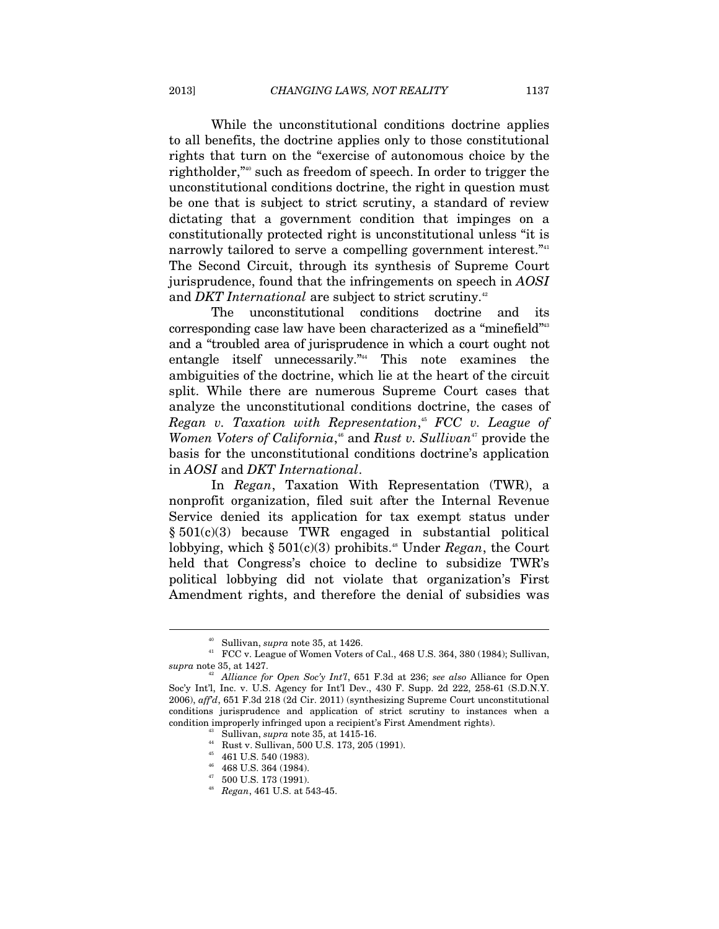While the unconstitutional conditions doctrine applies to all benefits, the doctrine applies only to those constitutional rights that turn on the "exercise of autonomous choice by the rightholder,"40 such as freedom of speech. In order to trigger the unconstitutional conditions doctrine, the right in question must be one that is subject to strict scrutiny, a standard of review dictating that a government condition that impinges on a constitutionally protected right is unconstitutional unless "it is narrowly tailored to serve a compelling government interest."<sup>41</sup> The Second Circuit, through its synthesis of Supreme Court jurisprudence, found that the infringements on speech in *AOSI* and *DKT International* are subject to strict scrutiny.<sup>42</sup>

The unconstitutional conditions doctrine and its corresponding case law have been characterized as a "minefield"43 and a "troubled area of jurisprudence in which a court ought not entangle itself unnecessarily."44 This note examines the ambiguities of the doctrine, which lie at the heart of the circuit split. While there are numerous Supreme Court cases that analyze the unconstitutional conditions doctrine, the cases of *Regan v. Taxation with Representation*, <sup>45</sup> *FCC v. League of*  Women Voters of California,<sup>46</sup> and *Rust v. Sullivan<sup>47</sup>* provide the basis for the unconstitutional conditions doctrine's application in *AOSI* and *DKT International*.

In *Regan*, Taxation With Representation (TWR), a nonprofit organization, filed suit after the Internal Revenue Service denied its application for tax exempt status under § 501(c)(3) because TWR engaged in substantial political lobbying, which  $\S 501(c)(3)$  prohibits.<sup>48</sup> Under *Regan*, the Court held that Congress's choice to decline to subsidize TWR's political lobbying did not violate that organization's First Amendment rights, and therefore the denial of subsidies was

 $^{40}$  Sullivan,  $supra$  note 35, at 1426.  $^{41}$  FCC v. League of Women Voters of Cal., 468 U.S. 364, 380 (1984); Sullivan, *supra* note 35, at 1427.

<sup>&</sup>lt;sup>42</sup> Alliance for Open Soc'y Int'l, 651 F.3d at 236; see also Alliance for Open Soc'y Int'l, Inc. v. U.S. Agency for Int'l Dev., 430 F. Supp. 2d 222, 258-61 (S.D.N.Y. 2006), *aff'd*, 651 F.3d 218 (2d Cir. 2011) (synthesizing Supreme Court unconstitutional conditions jurisprudence and application of strict scrutiny to instances when a condition improperly infringed upon a recipient's First Amendment rights). 43 Sullivan, *supra* note 35, at 1415-16. 44 Rust v. Sullivan, 500 U.S. 173, 205 (1991).

<sup>45 461</sup> U.S. 540 (1983).

 $^{46}$  468 U.S. 364 (1984).

 $^{47}$  –500 U.S. 173 (1991).

<sup>48</sup> *Regan*, 461 U.S. at 543-45.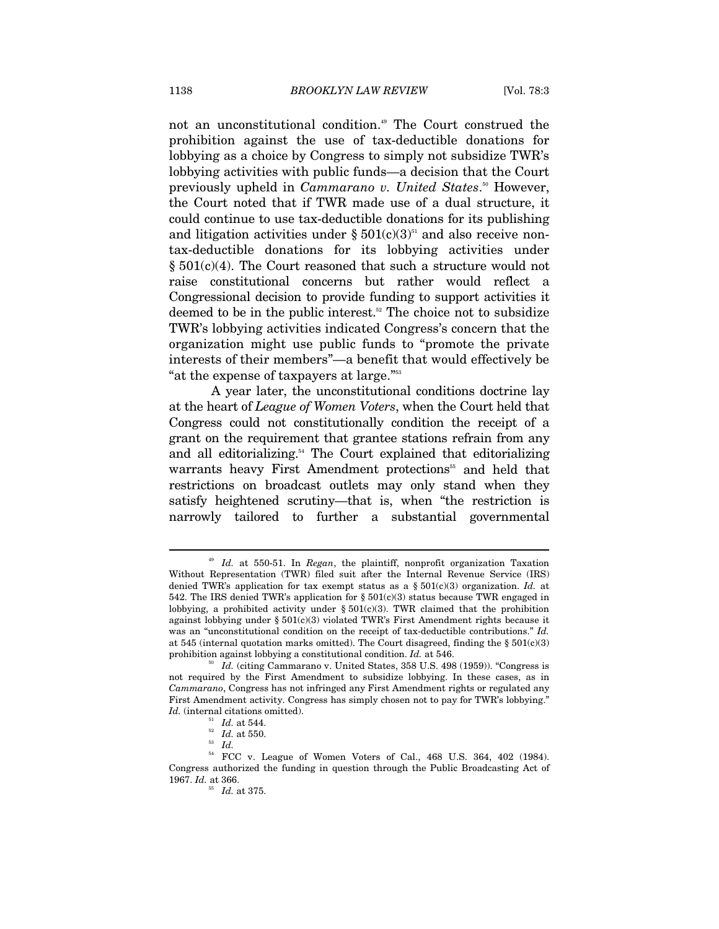not an unconstitutional condition.<sup>49</sup> The Court construed the prohibition against the use of tax-deductible donations for lobbying as a choice by Congress to simply not subsidize TWR's lobbying activities with public funds—a decision that the Court previously upheld in *Cammarano v. United States*. 50 However, the Court noted that if TWR made use of a dual structure, it could continue to use tax-deductible donations for its publishing and litigation activities under  $\S 501(c)(3)^{51}$  and also receive nontax-deductible donations for its lobbying activities under  $§ 501(c)(4)$ . The Court reasoned that such a structure would not raise constitutional concerns but rather would reflect a Congressional decision to provide funding to support activities it deemed to be in the public interest.<sup>52</sup> The choice not to subsidize TWR's lobbying activities indicated Congress's concern that the organization might use public funds to "promote the private interests of their members"—a benefit that would effectively be "at the expense of taxpayers at large."53

A year later, the unconstitutional conditions doctrine lay at the heart of *League of Women Voters*, when the Court held that Congress could not constitutionally condition the receipt of a grant on the requirement that grantee stations refrain from any and all editorializing.<sup>54</sup> The Court explained that editorializing warrants heavy First Amendment protections<sup>55</sup> and held that restrictions on broadcast outlets may only stand when they satisfy heightened scrutiny—that is, when "the restriction is narrowly tailored to further a substantial governmental

<sup>49</sup> *Id.* at 550-51. In *Regan*, the plaintiff, nonprofit organization Taxation Without Representation (TWR) filed suit after the Internal Revenue Service (IRS) denied TWR's application for tax exempt status as a  $\S 501(c)(3)$  organization. *Id.* at 542. The IRS denied TWR's application for  $\S 501(c)(3)$  status because TWR engaged in lobbying, a prohibited activity under  $\S 501(c)(3)$ . TWR claimed that the prohibition against lobbying under § 501(c)(3) violated TWR's First Amendment rights because it was an "unconstitutional condition on the receipt of tax-deductible contributions." *Id.* at 545 (internal quotation marks omitted). The Court disagreed, finding the  $\S 501(c)(3)$ prohibition against lobbying a constitutional condition. *Id.* at 546.<br><sup>50</sup> *Id.* (citing Cammarano v. United States, 358 U.S. 498 (1959)). "Congress is

not required by the First Amendment to subsidize lobbying. In these cases, as in *Cammarano*, Congress has not infringed any First Amendment rights or regulated any First Amendment activity. Congress has simply chosen not to pay for TWR's lobbying." *Id.* (internal citations omitted).<br><sup>51</sup> *Id.* at 544.<br><sup>52</sup> *Id.* at 550.<br><sup>53</sup> *Id.* 

<sup>54</sup> FCC v. League of Women Voters of Cal., 468 U.S. 364, 402 (1984). Congress authorized the funding in question through the Public Broadcasting Act of 1967. *Id.* at 366.

<sup>55</sup> *Id.* at 375.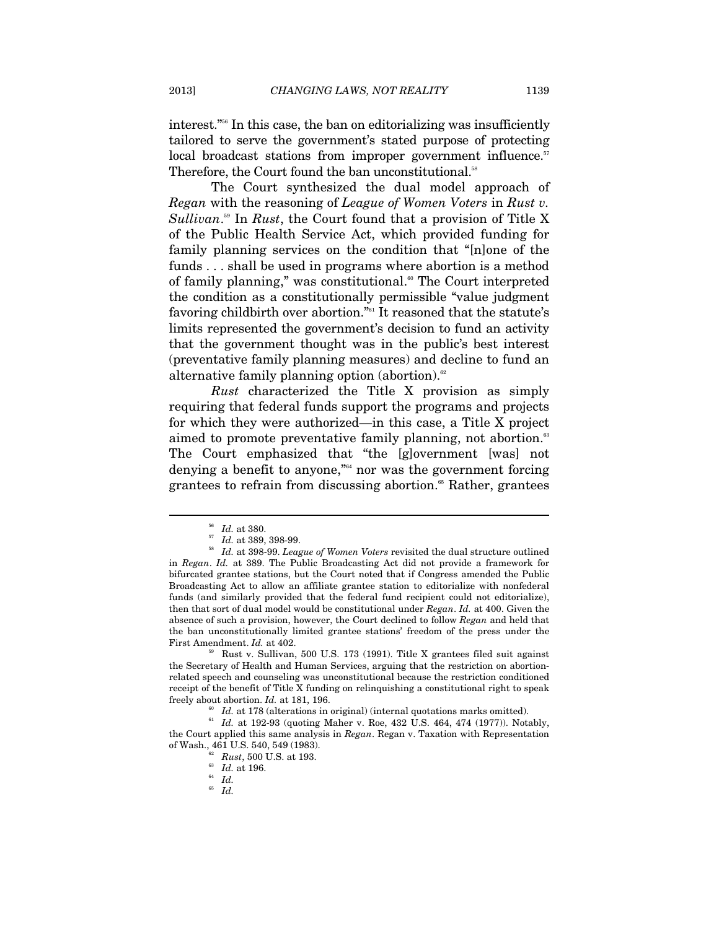interest."56 In this case, the ban on editorializing was insufficiently tailored to serve the government's stated purpose of protecting local broadcast stations from improper government influence.<sup>57</sup> Therefore, the Court found the ban unconstitutional.<sup>58</sup>

The Court synthesized the dual model approach of *Regan* with the reasoning of *League of Women Voters* in *Rust v.*  Sullivan.<sup>59</sup> In *Rust*, the Court found that a provision of Title X of the Public Health Service Act, which provided funding for family planning services on the condition that "[n]one of the funds . . . shall be used in programs where abortion is a method of family planning," was constitutional.<sup>60</sup> The Court interpreted the condition as a constitutionally permissible "value judgment favoring childbirth over abortion."61 It reasoned that the statute's limits represented the government's decision to fund an activity that the government thought was in the public's best interest (preventative family planning measures) and decline to fund an alternative family planning option (abortion).<sup>62</sup>

*Rust* characterized the Title X provision as simply requiring that federal funds support the programs and projects for which they were authorized—in this case, a Title X project aimed to promote preventative family planning, not abortion.<sup>63</sup> The Court emphasized that "the [g]overnment [was] not denying a benefit to anyone,"<sup>64</sup> nor was the government forcing grantees to refrain from discussing abortion.<sup>65</sup> Rather, grantees

 $\overline{a}$ 

the Secretary of Health and Human Services, arguing that the restriction on abortionrelated speech and counseling was unconstitutional because the restriction conditioned receipt of the benefit of Title X funding on relinquishing a constitutional right to speak freely about abortion.  $Id$ . at 181, 196.<br><sup>60</sup>  $Id$ . at 178 (alterations in original) (internal quotations marks omitted).<br><sup>61</sup>  $Id$ . at 192-93 (quoting Maher v. Roe, 432 U.S. 464, 474 (1977)). Notably,

the Court applied this same analysis in *Regan*. Regan v. Taxation with Representation of Wash., 461 U.S. 540, 549 (1983).<br><sup>62</sup> *Rust*, 500 U.S. at 193.<br><sup>63</sup> *Id.* at 196.<br>*Id.* 

<sup>65</sup> *Id.*

<sup>56</sup> *Id.* at 380. 57 *Id.* at 389, 398-99. 58 *Id.* at 398-99. *League of Women Voters* revisited the dual structure outlined in *Regan*. *Id.* at 389. The Public Broadcasting Act did not provide a framework for bifurcated grantee stations, but the Court noted that if Congress amended the Public Broadcasting Act to allow an affiliate grantee station to editorialize with nonfederal funds (and similarly provided that the federal fund recipient could not editorialize), then that sort of dual model would be constitutional under *Regan*. *Id.* at 400. Given the absence of such a provision, however, the Court declined to follow *Regan* and held that the ban unconstitutionally limited grantee stations' freedom of the press under the First Amendment. *Id.* at 402.<br><sup>59</sup> Rust v. Sullivan, 500 U.S. 173 (1991). Title X grantees filed suit against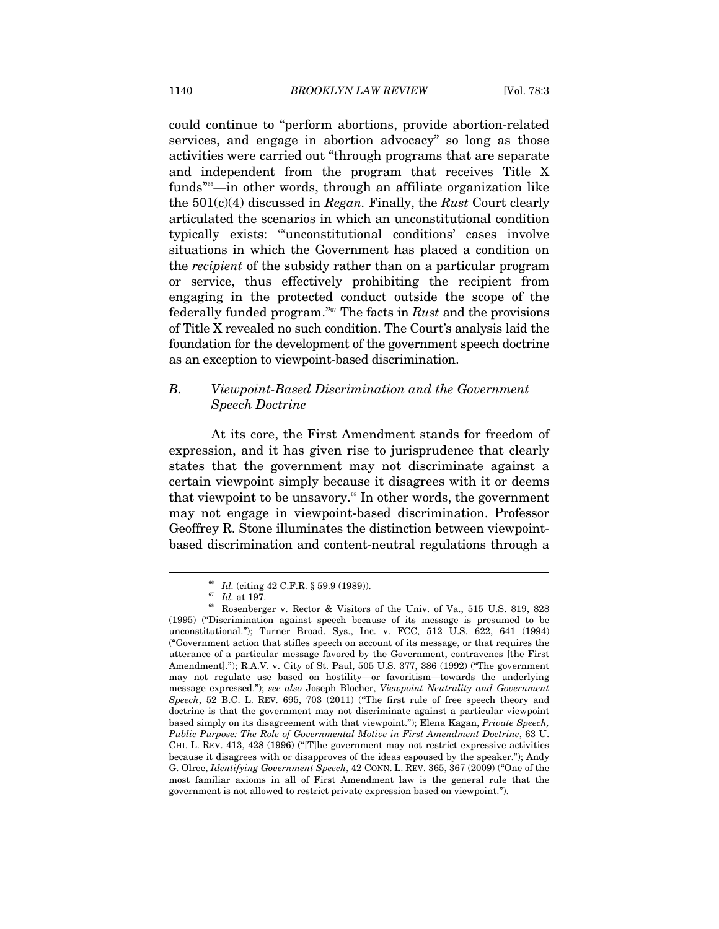could continue to "perform abortions, provide abortion-related services, and engage in abortion advocacy" so long as those activities were carried out "through programs that are separate and independent from the program that receives Title X funds<sup>"66</sup>—in other words, through an affiliate organization like the 501(c)(4) discussed in *Regan.* Finally, the *Rust* Court clearly articulated the scenarios in which an unconstitutional condition typically exists: "'unconstitutional conditions' cases involve situations in which the Government has placed a condition on the *recipient* of the subsidy rather than on a particular program or service, thus effectively prohibiting the recipient from engaging in the protected conduct outside the scope of the federally funded program."67 The facts in *Rust* and the provisions of Title X revealed no such condition. The Court's analysis laid the foundation for the development of the government speech doctrine as an exception to viewpoint-based discrimination.

### *B. Viewpoint-Based Discrimination and the Government Speech Doctrine*

At its core, the First Amendment stands for freedom of expression, and it has given rise to jurisprudence that clearly states that the government may not discriminate against a certain viewpoint simply because it disagrees with it or deems that viewpoint to be unsavory.<sup>68</sup> In other words, the government may not engage in viewpoint-based discrimination. Professor Geoffrey R. Stone illuminates the distinction between viewpointbased discrimination and content-neutral regulations through a

<sup>&</sup>lt;sup>66</sup> *Id.* (citing 42 C.F.R. § 59.9 (1989)).<br><sup>67</sup> *Id.* at 197.<br><sup>68</sup> Rosenberger v. Rector & Visitors of the Univ. of Va., 515 U.S. 819, 828 (1995) ("Discrimination against speech because of its message is presumed to be unconstitutional."); Turner Broad. Sys., Inc. v. FCC, 512 U.S. 622, 641 (1994) ("Government action that stifles speech on account of its message, or that requires the utterance of a particular message favored by the Government, contravenes [the First Amendment]."); R.A.V. v. City of St. Paul, 505 U.S. 377, 386 (1992) ("The government may not regulate use based on hostility—or favoritism—towards the underlying message expressed."); *see also* Joseph Blocher, *Viewpoint Neutrality and Government Speech*, 52 B.C. L. REV. 695, 703 (2011) ("The first rule of free speech theory and doctrine is that the government may not discriminate against a particular viewpoint based simply on its disagreement with that viewpoint."); Elena Kagan, *Private Speech, Public Purpose: The Role of Governmental Motive in First Amendment Doctrine*, 63 U. CHI. L. REV. 413, 428 (1996) ("[T]he government may not restrict expressive activities because it disagrees with or disapproves of the ideas espoused by the speaker."); Andy G. Olree, *Identifying Government Speech*, 42 CONN. L. REV. 365, 367 (2009) ("One of the most familiar axioms in all of First Amendment law is the general rule that the government is not allowed to restrict private expression based on viewpoint.").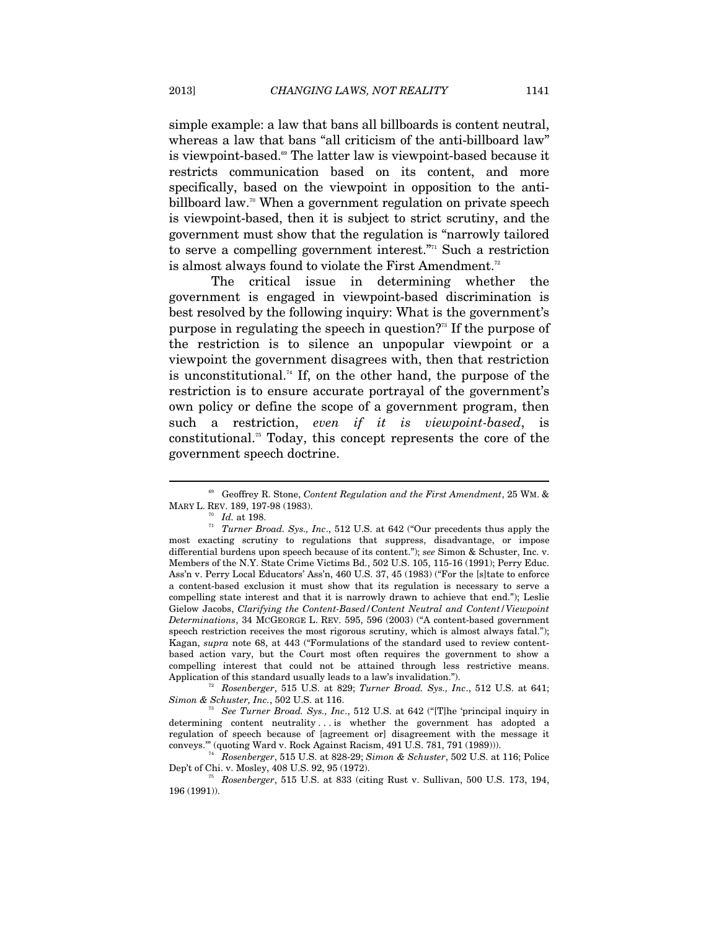simple example: a law that bans all billboards is content neutral, whereas a law that bans "all criticism of the anti-billboard law" is viewpoint-based.69 The latter law is viewpoint-based because it restricts communication based on its content, and more specifically, based on the viewpoint in opposition to the antibillboard law.<sup>70</sup> When a government regulation on private speech is viewpoint-based, then it is subject to strict scrutiny, and the government must show that the regulation is "narrowly tailored to serve a compelling government interest."71 Such a restriction is almost always found to violate the First Amendment.<sup>72</sup>

The critical issue in determining whether the government is engaged in viewpoint-based discrimination is best resolved by the following inquiry: What is the government's purpose in regulating the speech in question?<sup>73</sup> If the purpose of the restriction is to silence an unpopular viewpoint or a viewpoint the government disagrees with, then that restriction is unconstitutional.<sup>74</sup> If, on the other hand, the purpose of the restriction is to ensure accurate portrayal of the government's own policy or define the scope of a government program, then such a restriction, *even if it is viewpoint-based*, is constitutional.75 Today, this concept represents the core of the government speech doctrine.

 $\overline{a}$ 

*Simon & Schuster, Inc.*, 502 U.S. at 116.<br><sup>73</sup> *See Turner Broad. Sys., Inc.*, 512 U.S. at 642 ("[T]he 'principal inquiry in

determining content neutrality ... is whether the government has adopted a regulation of speech because of [agreement or] disagreement with the message it

conveys.'" (quoting Ward v. Rock Against Racism, 491 U.S. 781, 791 (1989))). 74 *Rosenberger*, 515 U.S. at 828-29; *Simon & Schuster*, 502 U.S. at 116; Police

<sup>69</sup> Geoffrey R. Stone, *Content Regulation and the First Amendment*, 25 WM. &

<sup>&</sup>lt;sup>n</sup> Id. at 198.<br><sup>n</sup> *Turner Broad. Sys., Inc.*, 512 U.S. at 642 ("Our precedents thus apply the most exacting scrutiny to regulations that suppress, disadvantage, or impose differential burdens upon speech because of its content."); *see* Simon & Schuster, Inc. v. Members of the N.Y. State Crime Victims Bd., 502 U.S. 105, 115-16 (1991); Perry Educ. Ass'n v. Perry Local Educators' Ass'n, 460 U.S. 37, 45 (1983) ("For the [s]tate to enforce a content-based exclusion it must show that its regulation is necessary to serve a compelling state interest and that it is narrowly drawn to achieve that end."); Leslie Gielow Jacobs, *Clarifying the Content-Based/Content Neutral and Content/Viewpoint Determinations*, 34 MCGEORGE L. REV. 595, 596 (2003) ("A content-based government speech restriction receives the most rigorous scrutiny, which is almost always fatal."); Kagan, *supra* note 68, at 443 ("Formulations of the standard used to review contentbased action vary, but the Court most often requires the government to show a compelling interest that could not be attained through less restrictive means. Application of this standard usually leads to a law's invalidation."). 72 *Rosenberger*, 515 U.S. at 829; *Turner Broad. Sys., Inc*., 512 U.S. at 641;

<sup>&</sup>lt;sup>75</sup> Rosenberger, 515 U.S. at 833 (citing Rust v. Sullivan, 500 U.S. 173, 194, 196 (1991)).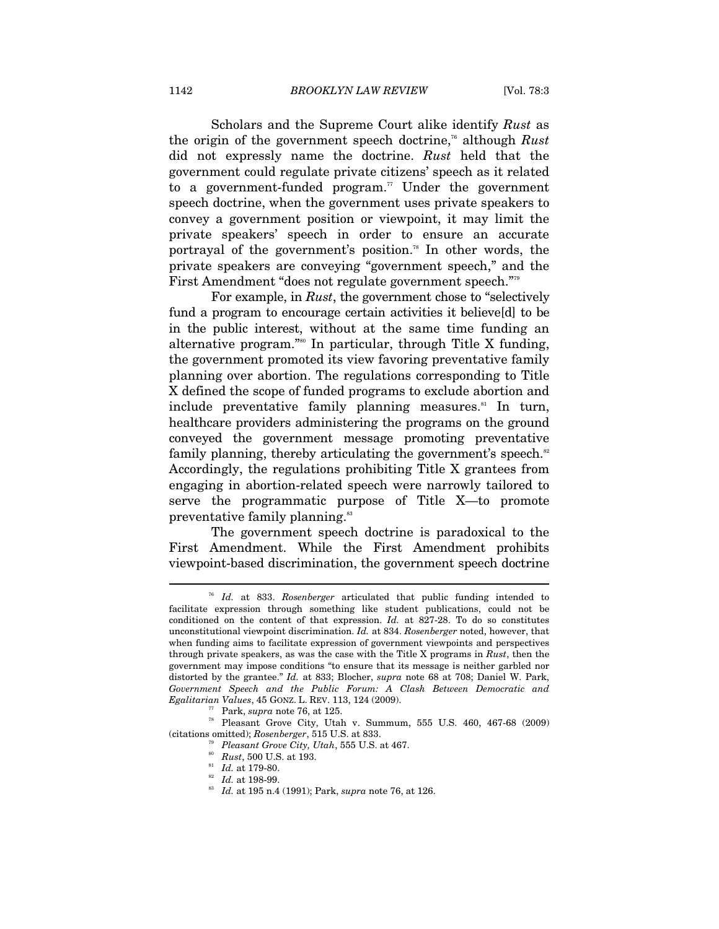Scholars and the Supreme Court alike identify *Rust* as the origin of the government speech doctrine,76 although *Rust* did not expressly name the doctrine. *Rust* held that the government could regulate private citizens' speech as it related to a government-funded program.<sup> $\pi$ </sup> Under the government speech doctrine, when the government uses private speakers to convey a government position or viewpoint, it may limit the private speakers' speech in order to ensure an accurate portrayal of the government's position.78 In other words, the private speakers are conveying "government speech," and the First Amendment "does not regulate government speech."79

For example, in *Rust*, the government chose to "selectively fund a program to encourage certain activities it believe[d] to be in the public interest, without at the same time funding an alternative program."80 In particular, through Title X funding, the government promoted its view favoring preventative family planning over abortion. The regulations corresponding to Title X defined the scope of funded programs to exclude abortion and include preventative family planning measures.<sup>81</sup> In turn, healthcare providers administering the programs on the ground conveyed the government message promoting preventative family planning, thereby articulating the government's speech. $82$ Accordingly, the regulations prohibiting Title X grantees from engaging in abortion-related speech were narrowly tailored to serve the programmatic purpose of Title X—to promote preventative family planning.<sup>83</sup>

The government speech doctrine is paradoxical to the First Amendment. While the First Amendment prohibits viewpoint-based discrimination, the government speech doctrine

Id. at 833. Rosenberger articulated that public funding intended to facilitate expression through something like student publications, could not be conditioned on the content of that expression. *Id.* at 827-28. To do so constitutes unconstitutional viewpoint discrimination. *Id.* at 834. *Rosenberger* noted, however, that when funding aims to facilitate expression of government viewpoints and perspectives through private speakers, as was the case with the Title X programs in *Rust*, then the government may impose conditions "to ensure that its message is neither garbled nor distorted by the grantee." *Id.* at 833; Blocher, *supra* note 68 at 708; Daniel W. Park, *Government Speech and the Public Forum: A Clash Between Democratic and* 

*Egalitarian Values*, 45 GONZ. L. REV. 113, 124 (2009).<br>
<sup>77</sup> Park, *supra* note 76, at 125.<br>
<sup>78</sup> Pleasant Grove City, Utah v. Summum, 555 U.S. 460, 467-68 (2009)<br>
(citations omitted); *Rosenberger*, 515 U.S. at 833.

<sup>&</sup>lt;sup>79</sup> Pleasant Grove City, Utah, 555 U.S. at 467.<br><sup>80</sup> Rust, 500 U.S. at 193.<br><sup>81</sup> Id. at 179-80.<br><sup>82</sup> Id. at 198-99.<br><sup>82</sup> Id. at 198-99.<br><sup>83</sup> Id. at 195 n.4 (1991); Park, *supra* note 76, at 126.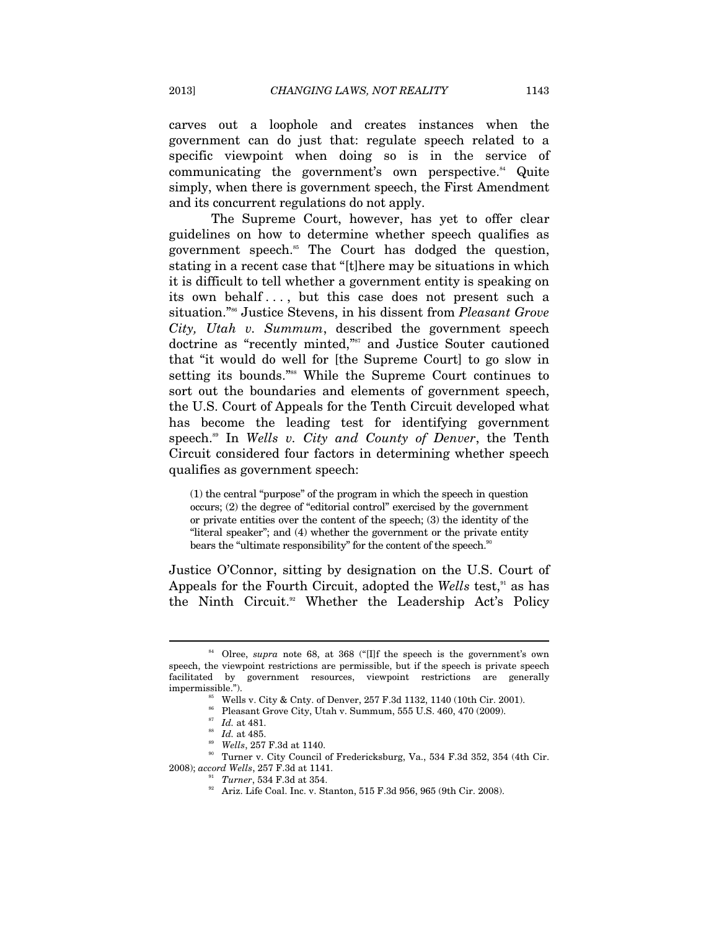carves out a loophole and creates instances when the government can do just that: regulate speech related to a specific viewpoint when doing so is in the service of communicating the government's own perspective. $^{84}$  Quite simply, when there is government speech, the First Amendment and its concurrent regulations do not apply.

The Supreme Court, however, has yet to offer clear guidelines on how to determine whether speech qualifies as government speech.85 The Court has dodged the question, stating in a recent case that "[t]here may be situations in which it is difficult to tell whether a government entity is speaking on its own behalf . . . , but this case does not present such a situation."86 Justice Stevens, in his dissent from *Pleasant Grove City, Utah v. Summum*, described the government speech doctrine as "recently minted,"<sup>87</sup> and Justice Souter cautioned that "it would do well for [the Supreme Court] to go slow in setting its bounds."88 While the Supreme Court continues to sort out the boundaries and elements of government speech, the U.S. Court of Appeals for the Tenth Circuit developed what has become the leading test for identifying government speech.89 In *Wells v. City and County of Denver*, the Tenth Circuit considered four factors in determining whether speech qualifies as government speech:

(1) the central "purpose" of the program in which the speech in question occurs; (2) the degree of "editorial control" exercised by the government or private entities over the content of the speech; (3) the identity of the "literal speaker"; and (4) whether the government or the private entity bears the "ultimate responsibility" for the content of the speech.<sup>90</sup>

Justice O'Connor, sitting by designation on the U.S. Court of Appeals for the Fourth Circuit, adopted the *Wells* test,<sup>91</sup> as has the Ninth Circuit.<sup>92</sup> Whether the Leadership Act's Policy

 $\overline{a}$ 

<sup>87</sup> Id. at 481.<br><sup>88</sup> Id. at 485.<br><sup>89</sup> Wells, 257 F.3d at 1140.<br>2008); accord Wells, 257 F.3d at 1141.<br>2008); accord Wells, 257 F.3d at 1141.

<sup>84</sup> Olree, *supra* note 68, at 368 ("[I]f the speech is the government's own speech, the viewpoint restrictions are permissible, but if the speech is private speech facilitated by government resources, viewpoint restrictions are generally impermissible."). 85 Wells v. City & Cnty. of Denver, 257 F.3d 1132, 1140 (10th Cir. 2001).

<sup>&</sup>lt;sup>91</sup> *Turner*, 534 F.3d at 354.<br><sup>92</sup> Ariz. Life Coal. Inc. v. Stanton, 515 F.3d 956, 965 (9th Cir. 2008).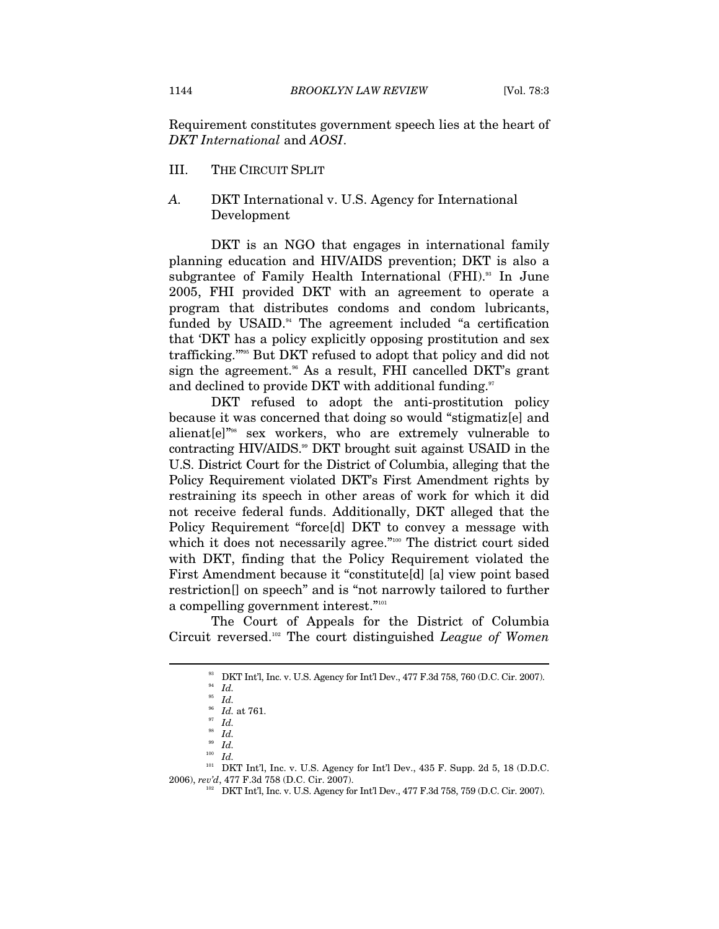Requirement constitutes government speech lies at the heart of *DKT International* and *AOSI*.

- III. THE CIRCUIT SPLIT
- *A.* DKT International v. U.S. Agency for International Development

DKT is an NGO that engages in international family planning education and HIV/AIDS prevention; DKT is also a subgrantee of Family Health International (FHI).<sup>33</sup> In June 2005, FHI provided DKT with an agreement to operate a program that distributes condoms and condom lubricants, funded by USAID.<sup>94</sup> The agreement included "a certification that 'DKT has a policy explicitly opposing prostitution and sex trafficking.'"95 But DKT refused to adopt that policy and did not sign the agreement.<sup>36</sup> As a result, FHI cancelled DKT's grant and declined to provide DKT with additional funding.<sup>97</sup>

DKT refused to adopt the anti-prostitution policy because it was concerned that doing so would "stigmatiz[e] and alienat[e]"98 sex workers, who are extremely vulnerable to contracting HIV/AIDS.<sup>99</sup> DKT brought suit against USAID in the U.S. District Court for the District of Columbia, alleging that the Policy Requirement violated DKT's First Amendment rights by restraining its speech in other areas of work for which it did not receive federal funds. Additionally, DKT alleged that the Policy Requirement "force[d] DKT to convey a message with which it does not necessarily agree."<sup>100</sup> The district court sided with DKT, finding that the Policy Requirement violated the First Amendment because it "constitute[d] [a] view point based restriction[] on speech" and is "not narrowly tailored to further a compelling government interest."101

The Court of Appeals for the District of Columbia Circuit reversed.102 The court distinguished *League of Women* 

 $^{93}_{94}$  DKT Int'l, Inc. v. U.S. Agency for Int'l Dev., 477 F.3d 758, 760 (D.C. Cir. 2007).  $^{94}_{95}$   $^{1}$   $\!ld$ 

<sup>96</sup> *Id.* at 761. 97 *Id.*

<sup>98</sup> *Id.*

<sup>99</sup> *Id.*

 $^{100}\;$   $Id.$ 

 $101$  DKT Int'l, Inc. v. U.S. Agency for Int'l Dev., 435 F. Supp. 2d 5, 18 (D.D.C. 2006), *rev'd*, 477 F.3d 758 (D.C. Cir. 2007). 102 DKT Int'l, Inc. v. U.S. Agency for Int'l Dev., 477 F.3d 758, 759 (D.C. Cir. 2007).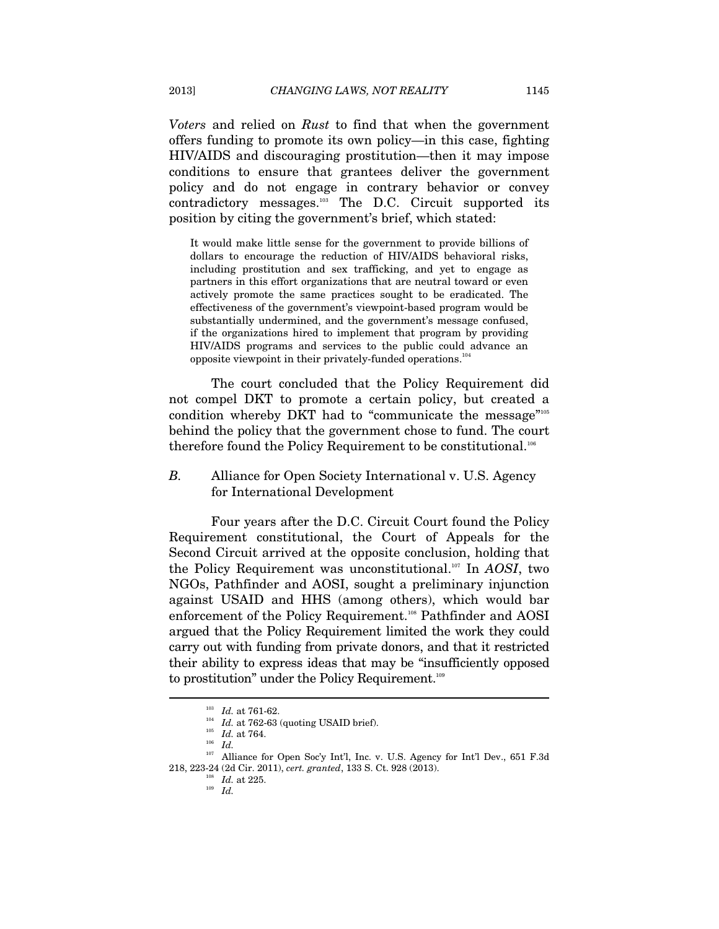*Voters* and relied on *Rust* to find that when the government offers funding to promote its own policy—in this case, fighting HIV/AIDS and discouraging prostitution—then it may impose conditions to ensure that grantees deliver the government policy and do not engage in contrary behavior or convey contradictory messages.103 The D.C. Circuit supported its position by citing the government's brief, which stated:

It would make little sense for the government to provide billions of dollars to encourage the reduction of HIV/AIDS behavioral risks, including prostitution and sex trafficking, and yet to engage as partners in this effort organizations that are neutral toward or even actively promote the same practices sought to be eradicated. The effectiveness of the government's viewpoint-based program would be substantially undermined, and the government's message confused, if the organizations hired to implement that program by providing HIV/AIDS programs and services to the public could advance an opposite viewpoint in their privately-funded operations. $104$ 

The court concluded that the Policy Requirement did not compel DKT to promote a certain policy, but created a condition whereby DKT had to "communicate the message"105 behind the policy that the government chose to fund. The court therefore found the Policy Requirement to be constitutional.<sup>106</sup>

*B.* Alliance for Open Society International v. U.S. Agency for International Development

Four years after the D.C. Circuit Court found the Policy Requirement constitutional, the Court of Appeals for the Second Circuit arrived at the opposite conclusion, holding that the Policy Requirement was unconstitutional.107 In *AOSI*, two NGOs, Pathfinder and AOSI, sought a preliminary injunction against USAID and HHS (among others), which would bar enforcement of the Policy Requirement.<sup>108</sup> Pathfinder and AOSI argued that the Policy Requirement limited the work they could carry out with funding from private donors, and that it restricted their ability to express ideas that may be "insufficiently opposed to prostitution" under the Policy Requirement.<sup>109</sup>

<sup>&</sup>lt;sup>103</sup> *Id.* at 761-62.<br><sup>104</sup> *Id.* at 762-63 (quoting USAID brief).<br><sup>105</sup> *Id.* at 764.<br>*Id.* 

<sup>&</sup>lt;sup>107</sup> Alliance for Open Soc'y Int'l, Inc. v. U.S. Agency for Int'l Dev., 651 F.3d 218, 223-24 (2d Cir. 2011), *cert. granted*, 133 S. Ct. 928 (2013). 108 *Id.* at 225. 109 *Id.*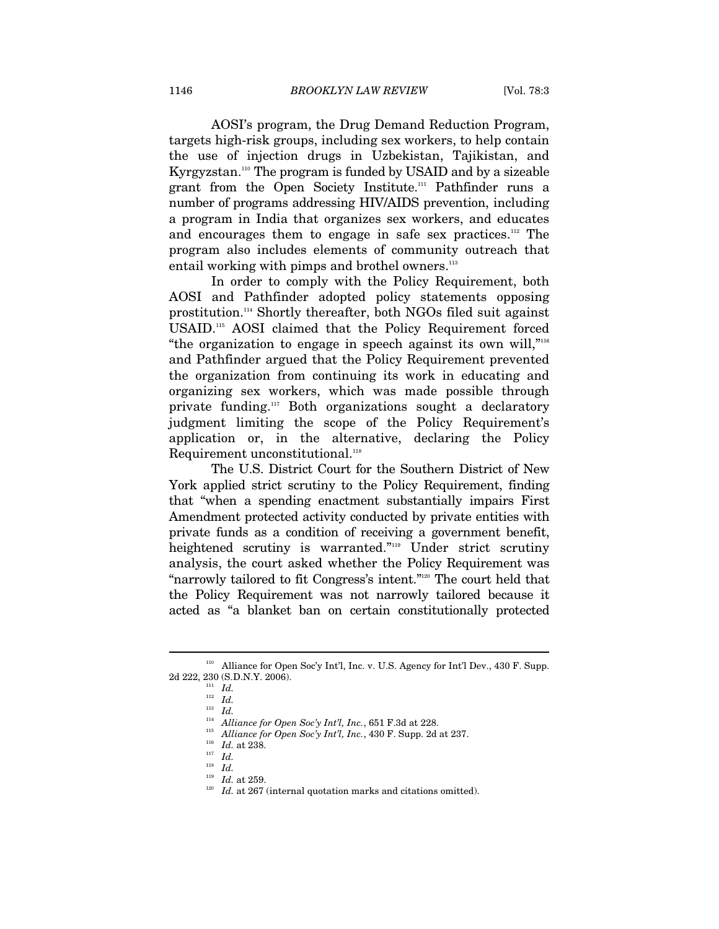AOSI's program, the Drug Demand Reduction Program, targets high-risk groups, including sex workers, to help contain the use of injection drugs in Uzbekistan, Tajikistan, and Kyrgyzstan.<sup>110</sup> The program is funded by USAID and by a sizeable grant from the Open Society Institute.<sup>111</sup> Pathfinder runs a number of programs addressing HIV/AIDS prevention, including a program in India that organizes sex workers, and educates and encourages them to engage in safe sex practices.<sup>112</sup> The program also includes elements of community outreach that entail working with pimps and brothel owners.<sup>113</sup>

In order to comply with the Policy Requirement, both AOSI and Pathfinder adopted policy statements opposing prostitution.114 Shortly thereafter, both NGOs filed suit against USAID.115 AOSI claimed that the Policy Requirement forced "the organization to engage in speech against its own will,"116 and Pathfinder argued that the Policy Requirement prevented the organization from continuing its work in educating and organizing sex workers, which was made possible through private funding.117 Both organizations sought a declaratory judgment limiting the scope of the Policy Requirement's application or, in the alternative, declaring the Policy Requirement unconstitutional.<sup>118</sup>

The U.S. District Court for the Southern District of New York applied strict scrutiny to the Policy Requirement, finding that "when a spending enactment substantially impairs First Amendment protected activity conducted by private entities with private funds as a condition of receiving a government benefit, heightened scrutiny is warranted."119 Under strict scrutiny analysis, the court asked whether the Policy Requirement was "narrowly tailored to fit Congress's intent."120 The court held that the Policy Requirement was not narrowly tailored because it acted as "a blanket ban on certain constitutionally protected

<sup>110</sup> Alliance for Open Soc'y Int'l, Inc. v. U.S. Agency for Int'l Dev., 430 F. Supp. 2d 222, 230 (S.D.N.Y. 2006). 111 *Id.*

<sup>112</sup> *Id.*

<sup>113&</sup>lt;br>11*4 Id.*<br><sup>114</sup> *Alliance for Open Soc'y Int'l, Inc.*, 651 F.3d at 228.

<sup>&</sup>lt;sup>115</sup> Alliance for Open Soc<sup>'</sup>y Int'l, Inc., 430 F. Supp. 2d at 237. <sup>116</sup> *Id.* at 238.

<sup>&</sup>lt;sup>118</sup> *Id. Id. 119 Id.* at 259.

 $^{120}$   $\,$   $Id.$  at 267 (internal quotation marks and citations omitted).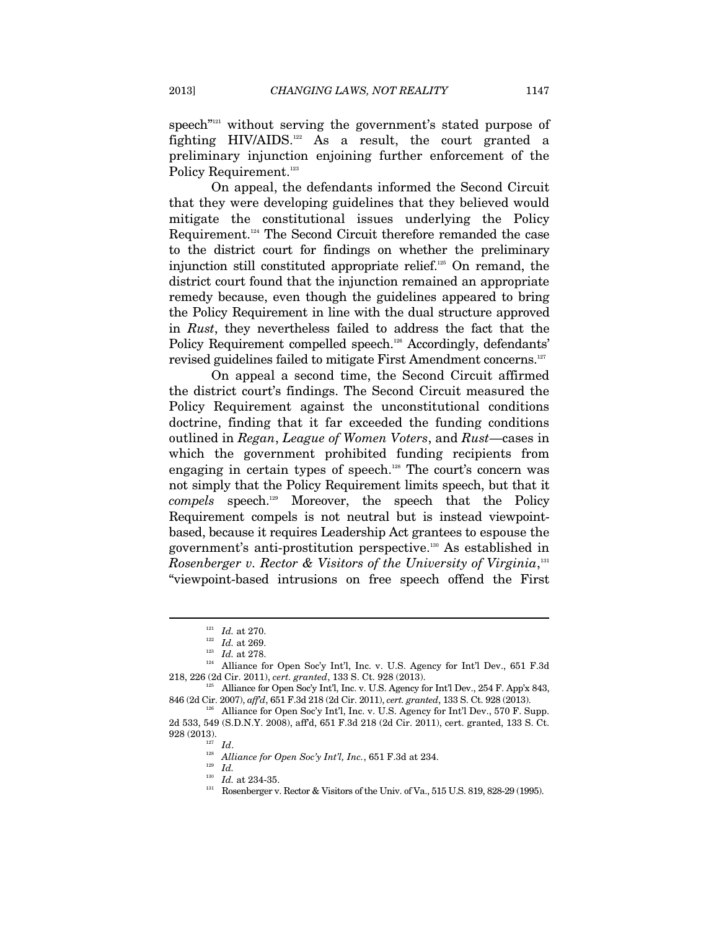speech<sup>"121</sup> without serving the government's stated purpose of fighting HIV/AIDS.122 As a result, the court granted a preliminary injunction enjoining further enforcement of the Policy Requirement.<sup>123</sup>

On appeal, the defendants informed the Second Circuit that they were developing guidelines that they believed would mitigate the constitutional issues underlying the Policy Requirement.124 The Second Circuit therefore remanded the case to the district court for findings on whether the preliminary injunction still constituted appropriate relief.125 On remand, the district court found that the injunction remained an appropriate remedy because, even though the guidelines appeared to bring the Policy Requirement in line with the dual structure approved in *Rust*, they nevertheless failed to address the fact that the Policy Requirement compelled speech.<sup>126</sup> Accordingly, defendants' revised guidelines failed to mitigate First Amendment concerns.<sup>127</sup>

On appeal a second time, the Second Circuit affirmed the district court's findings. The Second Circuit measured the Policy Requirement against the unconstitutional conditions doctrine, finding that it far exceeded the funding conditions outlined in *Regan*, *League of Women Voters*, and *Rust*—cases in which the government prohibited funding recipients from engaging in certain types of speech.<sup>128</sup> The court's concern was not simply that the Policy Requirement limits speech, but that it *compels* speech.129 Moreover, the speech that the Policy Requirement compels is not neutral but is instead viewpointbased, because it requires Leadership Act grantees to espouse the government's anti-prostitution perspective.130 As established in *Rosenberger v. Rector & Visitors of the University of Virginia*, 131 "viewpoint-based intrusions on free speech offend the First

<sup>&</sup>lt;sup>121</sup> *Id.* at 270.<br><sup>122</sup> *Id.* at 269.<br><sup>123</sup> *Id.* at 278.<br><sup>124</sup> Alliance for Open Soc'y Int'l, Inc. v. U.S. Agency for Int'l Dev., 651 F.3d 218, 226 (2d Cir. 2011), *cert. granted*, 133 S. Ct. 928 (2013). 125 Alliance for Open Soc'y Int'l, Inc. v. U.S. Agency for Int'l Dev., 254 F. App'x 843,

<sup>846 (2</sup>d Cir. 2007), *aff'd*, 651 F.3d 218 (2d Cir. 2011), *cert. granted*, 133 S. Ct. 928 (2013). 126 Alliance for Open Soc'y Int'l, Inc. v. U.S. Agency for Int'l Dev., 570 F. Supp.

<sup>2</sup>d 533, 549 (S.D.N.Y. 2008), aff'd, 651 F.3d 218 (2d Cir. 2011), cert. granted, 133 S. Ct.

<sup>&</sup>lt;sup>127</sup> *Id.* 128 *Id.* 128 *Alliance for Open Soc'y Int'l, Inc.*, 651 F.3d at 234.

 $\overline{129}$  *Id.*<br><sup>130</sup> *Id.* at 234-35.

 $^{131}$  Rosenberger v. Rector & Visitors of the Univ. of Va., 515 U.S. 819, 828-29 (1995).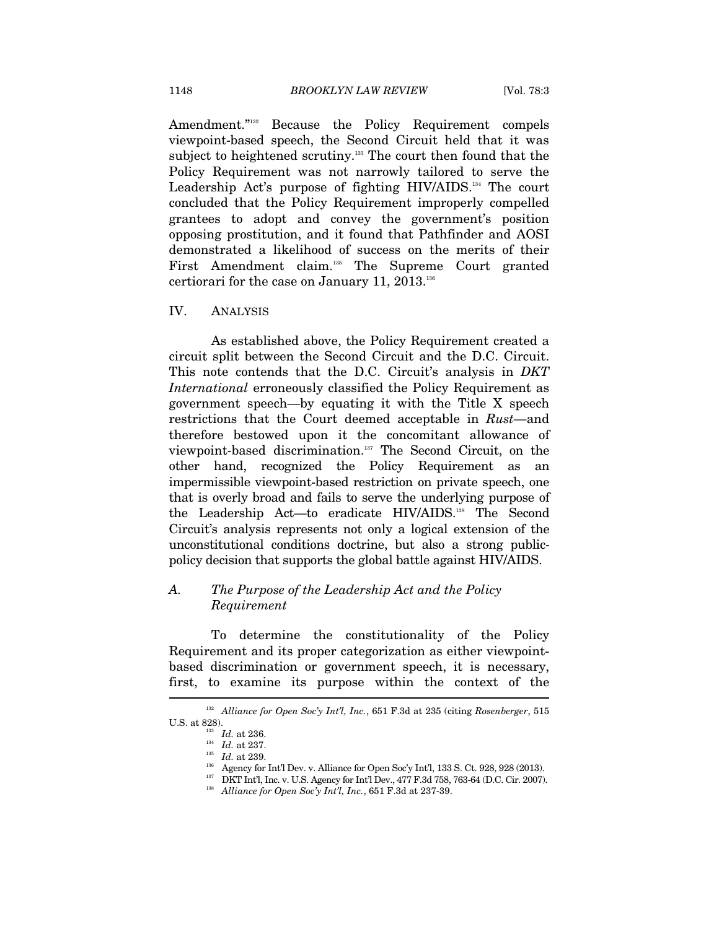Amendment."<sup>132</sup> Because the Policy Requirement compels viewpoint-based speech, the Second Circuit held that it was subject to heightened scrutiny.<sup>133</sup> The court then found that the Policy Requirement was not narrowly tailored to serve the Leadership Act's purpose of fighting HIV/AIDS.134 The court concluded that the Policy Requirement improperly compelled grantees to adopt and convey the government's position opposing prostitution, and it found that Pathfinder and AOSI demonstrated a likelihood of success on the merits of their First Amendment claim.<sup>135</sup> The Supreme Court granted certiorari for the case on January 11, 2013.136

#### IV. ANALYSIS

As established above, the Policy Requirement created a circuit split between the Second Circuit and the D.C. Circuit. This note contends that the D.C. Circuit's analysis in *DKT International* erroneously classified the Policy Requirement as government speech—by equating it with the Title X speech restrictions that the Court deemed acceptable in *Rust*—and therefore bestowed upon it the concomitant allowance of viewpoint-based discrimination.137 The Second Circuit, on the other hand, recognized the Policy Requirement as an impermissible viewpoint-based restriction on private speech, one that is overly broad and fails to serve the underlying purpose of the Leadership Act—to eradicate HIV/AIDS.138 The Second Circuit's analysis represents not only a logical extension of the unconstitutional conditions doctrine, but also a strong publicpolicy decision that supports the global battle against HIV/AIDS.

#### *A. The Purpose of the Leadership Act and the Policy Requirement*

To determine the constitutionality of the Policy Requirement and its proper categorization as either viewpointbased discrimination or government speech, it is necessary, first, to examine its purpose within the context of the

<sup>132</sup> *Alliance for Open Soc'y Int'l, Inc.*, 651 F.3d at 235 (citing *Rosenberger*, 515

 $\begin{array}{ll} ^{133} \text{ \quad \ \ \, Id. at 236.} \\ \text{ \quad \ \ \, \, 134 \quad \ \ \, \, 14. at 237.} \\ \text{ \quad \ \ \, \, 135 \quad \ \ \, Id. at 239.} \\ \text{ \quad \ \ \, Agency for Inrll Dev. v. Alliance for Open Soc'y Inrll, 133 S. Ct. 928, 928 (2013). \\ \text{ \quad \ \ \, 137 \quad \ \ \, 138.} \\ \text{ \quad \ \ \, 138.} \text{ \quad \ \$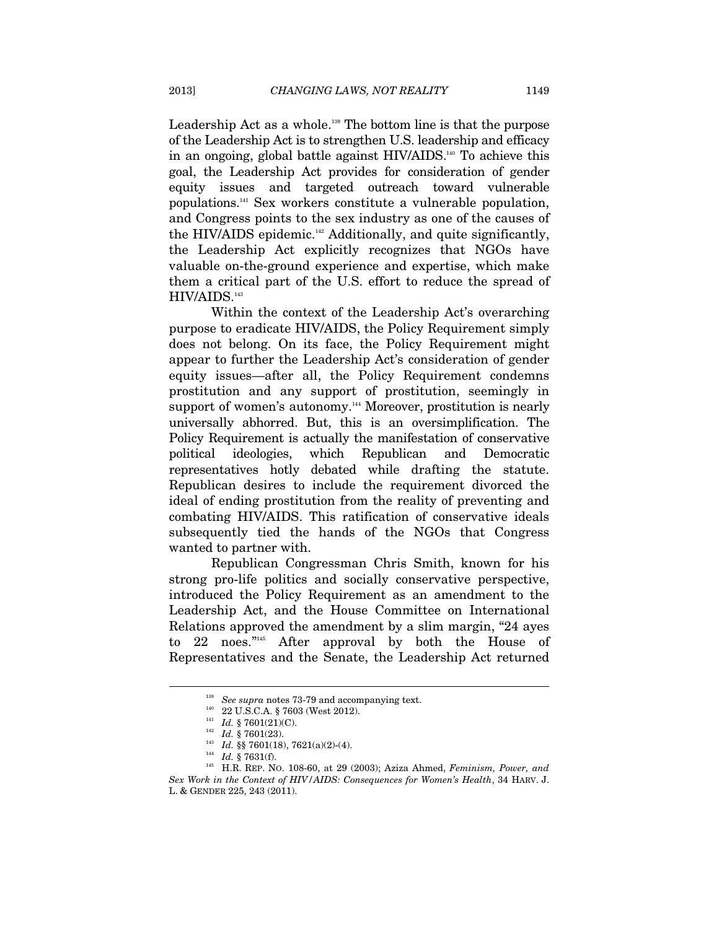Leadership Act as a whole.<sup>139</sup> The bottom line is that the purpose of the Leadership Act is to strengthen U.S. leadership and efficacy in an ongoing, global battle against HIV/AIDS.140 To achieve this goal, the Leadership Act provides for consideration of gender equity issues and targeted outreach toward vulnerable populations.141 Sex workers constitute a vulnerable population, and Congress points to the sex industry as one of the causes of the HIV/AIDS epidemic.<sup>142</sup> Additionally, and quite significantly, the Leadership Act explicitly recognizes that NGOs have valuable on-the-ground experience and expertise, which make them a critical part of the U.S. effort to reduce the spread of HIV/AIDS.143

Within the context of the Leadership Act's overarching purpose to eradicate HIV/AIDS, the Policy Requirement simply does not belong. On its face, the Policy Requirement might appear to further the Leadership Act's consideration of gender equity issues—after all, the Policy Requirement condemns prostitution and any support of prostitution, seemingly in support of women's autonomy.<sup>144</sup> Moreover, prostitution is nearly universally abhorred. But, this is an oversimplification. The Policy Requirement is actually the manifestation of conservative political ideologies, which Republican and Democratic representatives hotly debated while drafting the statute. Republican desires to include the requirement divorced the ideal of ending prostitution from the reality of preventing and combating HIV/AIDS. This ratification of conservative ideals subsequently tied the hands of the NGOs that Congress wanted to partner with.

Republican Congressman Chris Smith, known for his strong pro-life politics and socially conservative perspective, introduced the Policy Requirement as an amendment to the Leadership Act, and the House Committee on International Relations approved the amendment by a slim margin, "24 ayes to 22 noes."145 After approval by both the House of Representatives and the Senate, the Leadership Act returned

<sup>&</sup>lt;sup>139</sup> See supra notes 73-79 and accompanying text.<br>
<sup>140</sup> 22 U.S.C.A. § 7603 (West 2012).<br>
<sup>141</sup> *Id.* § 7601(21)(C).<br>
<sup>142</sup> *Id.* § 7601(23).<br>
<sup>143</sup> *Id.* § 7601(18), 7621(a)(2)-(4).<br>
<sup>144</sup> *Id.* § 7631(f).<br>
<sup>144</sup> *Id. Sex Work in the Context of HIV/AIDS: Consequences for Women's Health*, 34 HARV. J.

L. & GENDER 225, 243 (2011).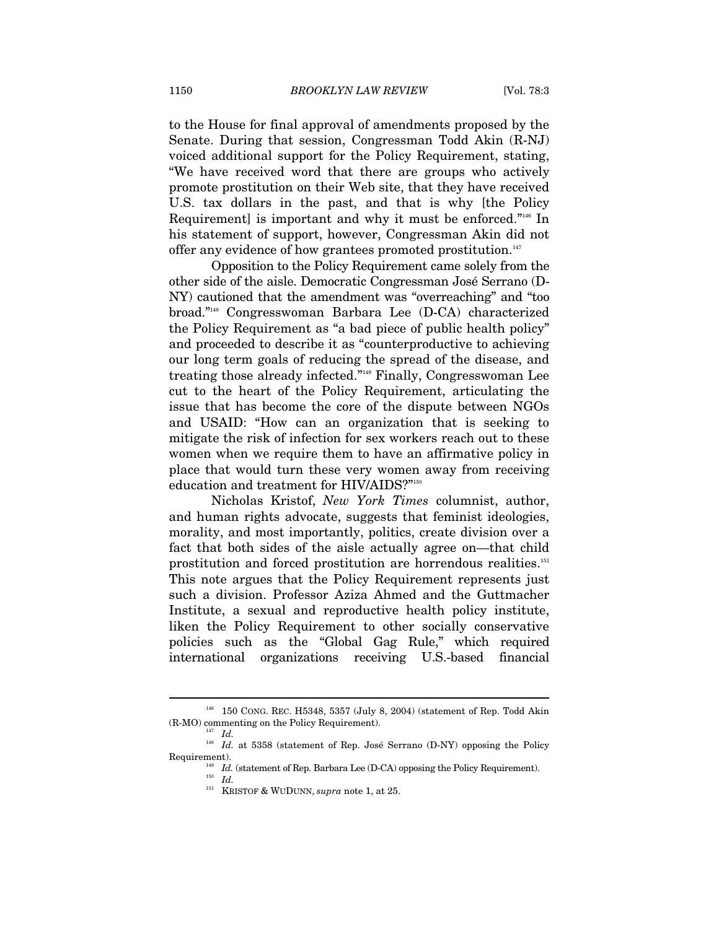to the House for final approval of amendments proposed by the Senate. During that session, Congressman Todd Akin (R-NJ) voiced additional support for the Policy Requirement, stating, "We have received word that there are groups who actively promote prostitution on their Web site, that they have received U.S. tax dollars in the past, and that is why [the Policy Requirement] is important and why it must be enforced."<sup>146</sup> In his statement of support, however, Congressman Akin did not offer any evidence of how grantees promoted prostitution.<sup>147</sup>

Opposition to the Policy Requirement came solely from the other side of the aisle. Democratic Congressman José Serrano (D-NY) cautioned that the amendment was "overreaching" and "too broad."148 Congresswoman Barbara Lee (D-CA) characterized the Policy Requirement as "a bad piece of public health policy" and proceeded to describe it as "counterproductive to achieving our long term goals of reducing the spread of the disease, and treating those already infected."149 Finally, Congresswoman Lee cut to the heart of the Policy Requirement, articulating the issue that has become the core of the dispute between NGOs and USAID: "How can an organization that is seeking to mitigate the risk of infection for sex workers reach out to these women when we require them to have an affirmative policy in place that would turn these very women away from receiving education and treatment for HIV/AIDS?"150

Nicholas Kristof, *New York Times* columnist, author, and human rights advocate, suggests that feminist ideologies, morality, and most importantly, politics, create division over a fact that both sides of the aisle actually agree on—that child prostitution and forced prostitution are horrendous realities.151 This note argues that the Policy Requirement represents just such a division. Professor Aziza Ahmed and the Guttmacher Institute, a sexual and reproductive health policy institute, liken the Policy Requirement to other socially conservative policies such as the "Global Gag Rule," which required international organizations receiving U.S.-based financial

<sup>146 150</sup> CONG. REC. H5348, 5357 (July 8, 2004) (statement of Rep. Todd Akin (R-MO) commenting on the Policy Requirement).  $147$  *Id.* 

 $^{148}$   $\,$   $Id.$  at 5358 (statement of Rep. José Serrano (D-NY) opposing the Policy

Requirement).  $I_{49}$  *Id.* (statement of Rep. Barbara Lee (D-CA) opposing the Policy Requirement).  $I_{d}$ 

<sup>151</sup> KRISTOF & WUDUNN, *supra* note 1, at 25.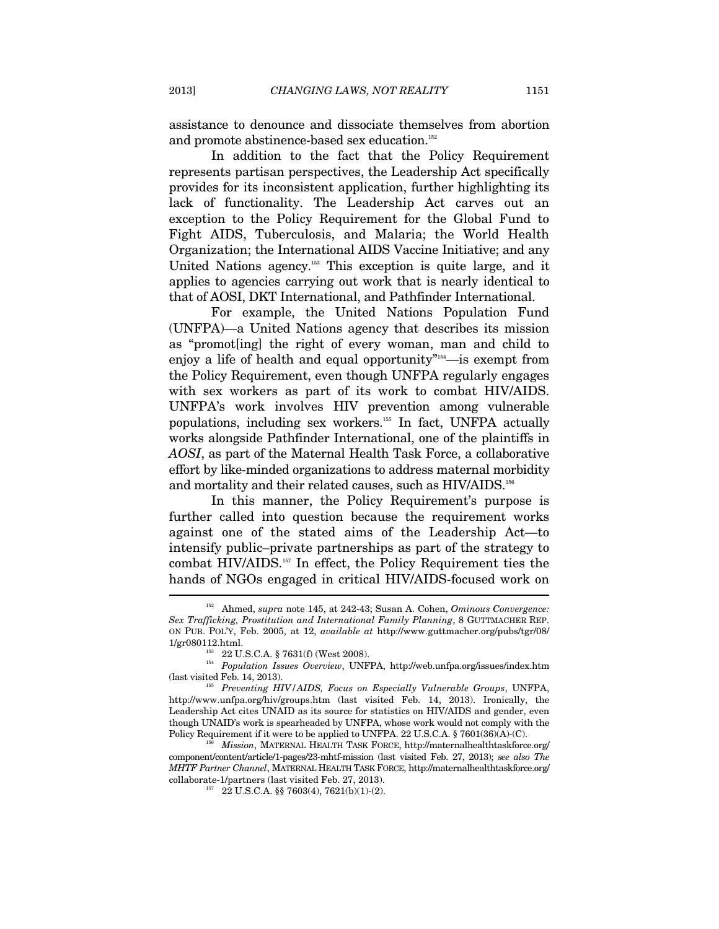assistance to denounce and dissociate themselves from abortion and promote abstinence-based sex education.<sup>152</sup>

In addition to the fact that the Policy Requirement represents partisan perspectives, the Leadership Act specifically provides for its inconsistent application, further highlighting its lack of functionality. The Leadership Act carves out an exception to the Policy Requirement for the Global Fund to Fight AIDS, Tuberculosis, and Malaria; the World Health Organization; the International AIDS Vaccine Initiative; and any United Nations agency.<sup>153</sup> This exception is quite large, and it applies to agencies carrying out work that is nearly identical to that of AOSI, DKT International, and Pathfinder International.

For example, the United Nations Population Fund (UNFPA)—a United Nations agency that describes its mission as "promot[ing] the right of every woman, man and child to enjoy a life of health and equal opportunity<sup>"154</sup>—is exempt from the Policy Requirement, even though UNFPA regularly engages with sex workers as part of its work to combat HIV/AIDS. UNFPA's work involves HIV prevention among vulnerable populations, including sex workers.155 In fact, UNFPA actually works alongside Pathfinder International, one of the plaintiffs in *AOSI*, as part of the Maternal Health Task Force, a collaborative effort by like-minded organizations to address maternal morbidity and mortality and their related causes, such as HIV/AIDS.<sup>156</sup>

In this manner, the Policy Requirement's purpose is further called into question because the requirement works against one of the stated aims of the Leadership Act—to intensify public–private partnerships as part of the strategy to combat HIV/AIDS.157 In effect, the Policy Requirement ties the hands of NGOs engaged in critical HIV/AIDS-focused work on Ï

<sup>152</sup> Ahmed, *supra* note 145, at 242-43; Susan A. Cohen, *Ominous Convergence: Sex Trafficking, Prostitution and International Family Planning*, 8 GUTTMACHER REP. ON PUB. POL'Y, Feb. 2005, at 12, *available at* http://www.guttmacher.org/pubs/tgr/08/

<sup>1/</sup>gr080112.html. 153 22 U.S.C.A. § 7631(f) (West 2008). 154 *Population Issues Overview*, UNFPA, http://web.unfpa.org/issues/index.htm

<sup>&</sup>lt;sup>155</sup> Preventing HIV/AIDS, Focus on Especially Vulnerable Groups, UNFPA, http://www.unfpa.org/hiv/groups.htm (last visited Feb. 14, 2013). Ironically, the Leadership Act cites UNAID as its source for statistics on HIV/AIDS and gender, even though UNAID's work is spearheaded by UNFPA, whose work would not comply with the Policy Requirement if it were to be applied to UNFPA. 22 U.S.C.A. § 7601(36)(A)-(C).

Policy Requirement if it were to be applied to UNFPA. 22 U.S.C.A. § 7601(36)(A)-(C). 156 *Mission*, MATERNAL HEALTH TASK FORCE, http://maternalhealthtaskforce.org/ component/content/article/1-pages/23-mhtf-mission (last visited Feb. 27, 2013); *see also The MHTF Partner Channel*, MATERNAL HEALTH TASK FORCE, http://maternalhealthtaskforce.org/  ${\rm collaborate\text{-}1/partners\text{ (last visited Feb.\ 27, 2013).}\atop \text{^{157}}}\text{ 22 U.S.C.A.\ $\$ 7603(4), 7621(b)(1)-(2).}$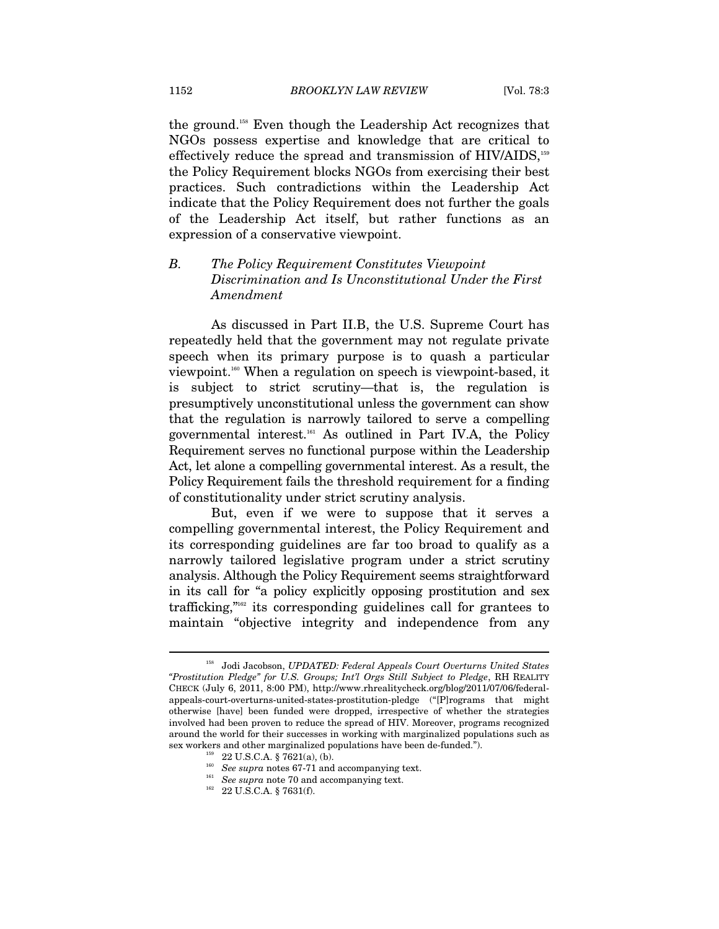the ground.158 Even though the Leadership Act recognizes that NGOs possess expertise and knowledge that are critical to effectively reduce the spread and transmission of HIV/AIDS,<sup>159</sup> the Policy Requirement blocks NGOs from exercising their best practices. Such contradictions within the Leadership Act indicate that the Policy Requirement does not further the goals of the Leadership Act itself, but rather functions as an expression of a conservative viewpoint.

# *B. The Policy Requirement Constitutes Viewpoint Discrimination and Is Unconstitutional Under the First Amendment*

As discussed in Part II.B, the U.S. Supreme Court has repeatedly held that the government may not regulate private speech when its primary purpose is to quash a particular viewpoint.160 When a regulation on speech is viewpoint-based, it is subject to strict scrutiny—that is, the regulation is presumptively unconstitutional unless the government can show that the regulation is narrowly tailored to serve a compelling governmental interest.161 As outlined in Part IV.A, the Policy Requirement serves no functional purpose within the Leadership Act, let alone a compelling governmental interest. As a result, the Policy Requirement fails the threshold requirement for a finding of constitutionality under strict scrutiny analysis.

But, even if we were to suppose that it serves a compelling governmental interest, the Policy Requirement and its corresponding guidelines are far too broad to qualify as a narrowly tailored legislative program under a strict scrutiny analysis. Although the Policy Requirement seems straightforward in its call for "a policy explicitly opposing prostitution and sex trafficking,"<sup>162</sup> its corresponding guidelines call for grantees to maintain "objective integrity and independence from any

<sup>158</sup> Jodi Jacobson, *UPDATED: Federal Appeals Court Overturns United States "Prostitution Pledge" for U.S. Groups; Int'l Orgs Still Subject to Pledge*, RH REALITY CHECK (July 6, 2011, 8:00 PM), http://www.rhrealitycheck.org/blog/2011/07/06/federalappeals-court-overturns-united-states-prostitution-pledge ("[P]rograms that might otherwise [have] been funded were dropped, irrespective of whether the strategies involved had been proven to reduce the spread of HIV. Moreover, programs recognized around the world for their successes in working with marginalized populations such as sex workers and other marginalized populations have been de-funded.").<br>
<sup>159</sup> 22 U.S.C.A. § 7621(a), (b).<br>
<sup>160</sup> *See supra* notes 67-71 and accompanying text.<br>
<sup>161</sup> *See supra* note 70 and accompanying text.<br>
<sup>162</sup> 22 U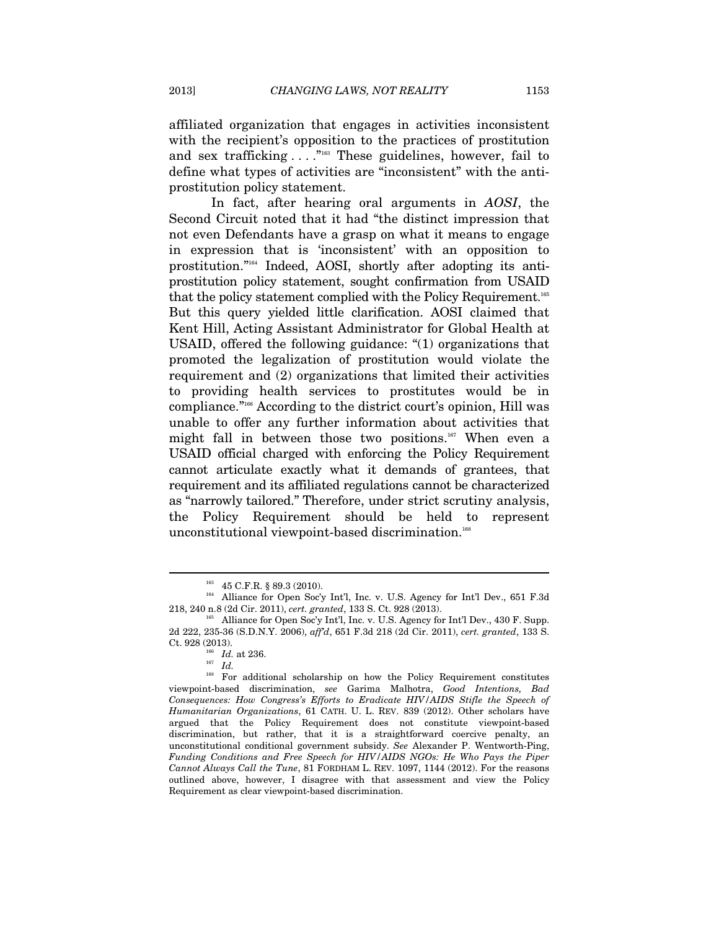affiliated organization that engages in activities inconsistent with the recipient's opposition to the practices of prostitution and sex trafficking . . . . "<sup>163</sup> These guidelines, however, fail to define what types of activities are "inconsistent" with the antiprostitution policy statement.

In fact, after hearing oral arguments in *AOSI*, the Second Circuit noted that it had "the distinct impression that not even Defendants have a grasp on what it means to engage in expression that is 'inconsistent' with an opposition to prostitution."164 Indeed, AOSI, shortly after adopting its antiprostitution policy statement, sought confirmation from USAID that the policy statement complied with the Policy Requirement.<sup>165</sup> But this query yielded little clarification. AOSI claimed that Kent Hill, Acting Assistant Administrator for Global Health at USAID, offered the following guidance: "(1) organizations that promoted the legalization of prostitution would violate the requirement and (2) organizations that limited their activities to providing health services to prostitutes would be in compliance."166 According to the district court's opinion, Hill was unable to offer any further information about activities that might fall in between those two positions.<sup>167</sup> When even a USAID official charged with enforcing the Policy Requirement cannot articulate exactly what it demands of grantees, that requirement and its affiliated regulations cannot be characterized as "narrowly tailored." Therefore, under strict scrutiny analysis, the Policy Requirement should be held to represent unconstitutional viewpoint-based discrimination.<sup>168</sup>

<sup>&</sup>lt;sup>163</sup> 45 C.F.R. § 89.3 (2010).<br><sup>164</sup> Alliance for Open Soc'y Int'l, Inc. v. U.S. Agency for Int'l Dev., 651 F.3d 218, 240 n.8 (2d Cir. 2011), *cert. granted*, 133 S. Ct. 928 (2013). 165 Alliance for Open Soc'y Int'l, Inc. v. U.S. Agency for Int'l Dev., 430 F. Supp.

<sup>2</sup>d 222, 235-36 (S.D.N.Y. 2006), *aff'd*, 651 F.3d 218 (2d Cir. 2011), *cert. granted*, 133 S. Ct. 928 (2013).<br><sup>166</sup> *Id.* at 236.<br><sup>167</sup> *Id.*<br><sup>168</sup> For additional

<sup>168</sup> For additional scholarship on how the Policy Requirement constitutes viewpoint-based discrimination, *see* Garima Malhotra, *Good Intentions, Bad Consequences: How Congress's Efforts to Eradicate HIV/AIDS Stifle the Speech of Humanitarian Organizations*, 61 CATH. U. L. REV. 839 (2012). Other scholars have argued that the Policy Requirement does not constitute viewpoint-based discrimination, but rather, that it is a straightforward coercive penalty, an unconstitutional conditional government subsidy. *See* Alexander P. Wentworth-Ping, *Funding Conditions and Free Speech for HIV/AIDS NGOs: He Who Pays the Piper Cannot Always Call the Tune*, 81 FORDHAM L. REV. 1097, 1144 (2012). For the reasons outlined above, however, I disagree with that assessment and view the Policy Requirement as clear viewpoint-based discrimination.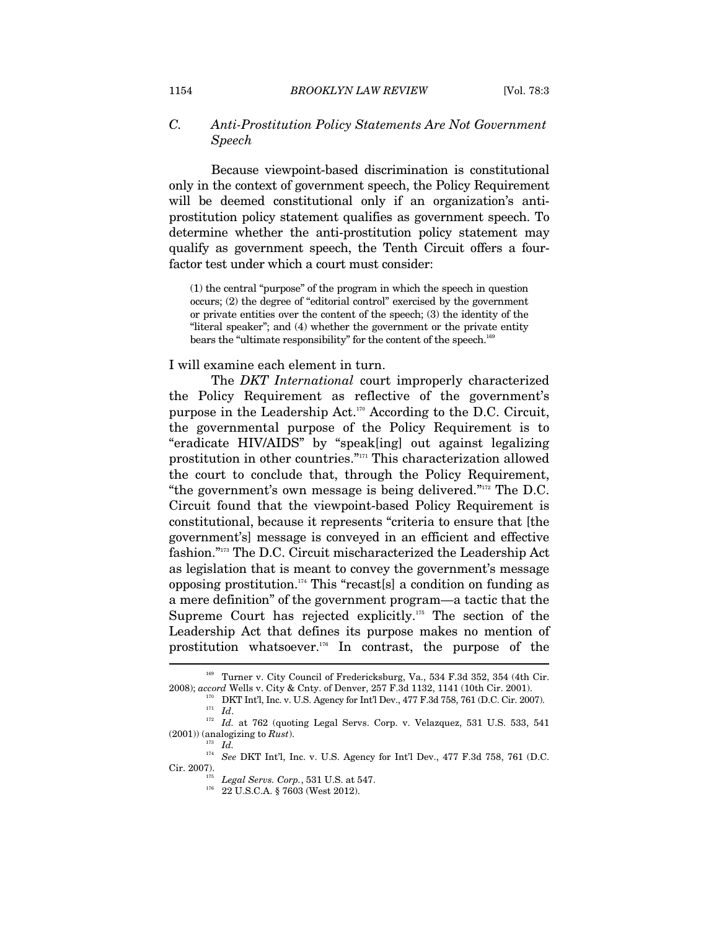#### 1154 *BROOKLYN LAW REVIEW* [Vol. 78:3

## *C. Anti-Prostitution Policy Statements Are Not Government Speech*

Because viewpoint-based discrimination is constitutional only in the context of government speech, the Policy Requirement will be deemed constitutional only if an organization's antiprostitution policy statement qualifies as government speech. To determine whether the anti-prostitution policy statement may qualify as government speech, the Tenth Circuit offers a fourfactor test under which a court must consider:

(1) the central "purpose" of the program in which the speech in question occurs; (2) the degree of "editorial control" exercised by the government or private entities over the content of the speech; (3) the identity of the "literal speaker"; and (4) whether the government or the private entity bears the "ultimate responsibility" for the content of the speech. $^{16}$ 

#### I will examine each element in turn.

The *DKT International* court improperly characterized the Policy Requirement as reflective of the government's purpose in the Leadership Act.<sup>170</sup> According to the D.C. Circuit, the governmental purpose of the Policy Requirement is to "eradicate HIV/AIDS" by "speak[ing] out against legalizing prostitution in other countries."171 This characterization allowed the court to conclude that, through the Policy Requirement, "the government's own message is being delivered."172 The D.C. Circuit found that the viewpoint-based Policy Requirement is constitutional, because it represents "criteria to ensure that [the government's] message is conveyed in an efficient and effective fashion."173 The D.C. Circuit mischaracterized the Leadership Act as legislation that is meant to convey the government's message opposing prostitution.<sup>174</sup> This "recast[s] a condition on funding as a mere definition" of the government program—a tactic that the Supreme Court has rejected explicitly.175 The section of the Leadership Act that defines its purpose makes no mention of prostitution whatsoever.176 In contrast, the purpose of the

<sup>169</sup> Turner v. City Council of Fredericksburg, Va., 534 F.3d 352, 354 (4th Cir.

<sup>2008);</sup> accord Wells v. City & Cnty. of Denver, 257 F.3d 1132, 1141 (10th Cir. 2001).<br>
<sup>170</sup> DKT Int'l, Inc. v. U.S. Agency for Int'l Dev., 477 F.3d 758, 761 (D.C. Cir. 2007).<br>
<sup>171</sup> Id.<br>
<sup>172</sup> Id. at 762 (quoting Legal Se  $(2001)$ ) (analogizing to *Rust*).<br><sup>173</sup> *Id.* 

<sup>174</sup> *See* DKT Int'l, Inc. v. U.S. Agency for Int'l Dev., 477 F.3d 758, 761 (D.C. Cir. 2007). 175 *Legal Servs. Corp.*, 531 U.S. at 547. 176 22 U.S.C.A. § 7603 (West 2012).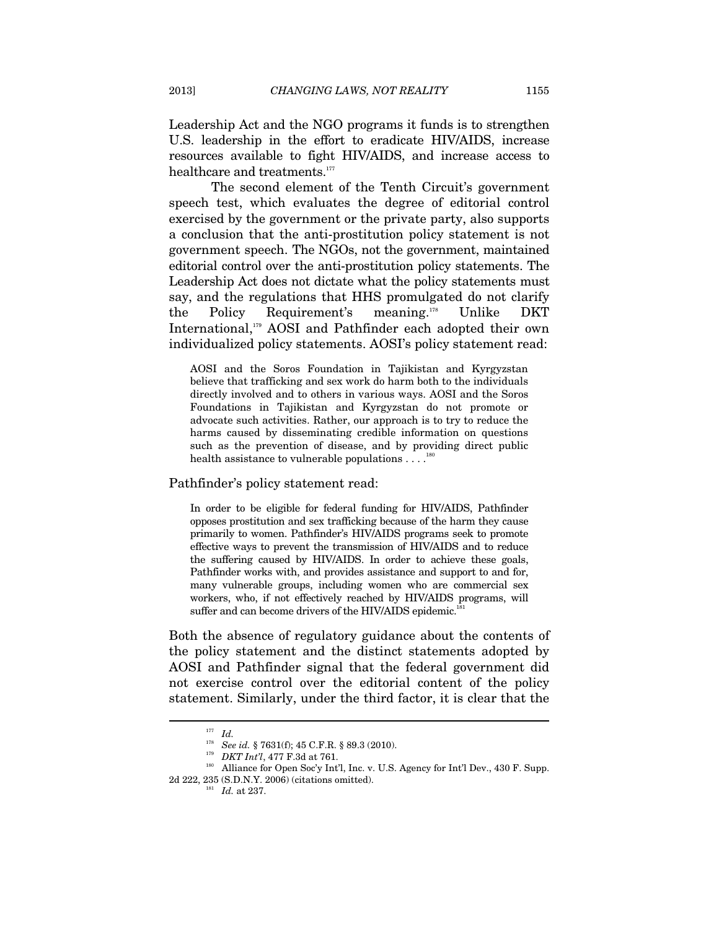Leadership Act and the NGO programs it funds is to strengthen U.S. leadership in the effort to eradicate HIV/AIDS, increase resources available to fight HIV/AIDS, and increase access to healthcare and treatments.<sup>177</sup>

The second element of the Tenth Circuit's government speech test, which evaluates the degree of editorial control exercised by the government or the private party, also supports a conclusion that the anti-prostitution policy statement is not government speech. The NGOs, not the government, maintained editorial control over the anti-prostitution policy statements. The Leadership Act does not dictate what the policy statements must say, and the regulations that HHS promulgated do not clarify the Policy Requirement's meaning.178 Unlike DKT International,<sup>179</sup> AOSI and Pathfinder each adopted their own individualized policy statements. AOSI's policy statement read:

AOSI and the Soros Foundation in Tajikistan and Kyrgyzstan believe that trafficking and sex work do harm both to the individuals directly involved and to others in various ways. AOSI and the Soros Foundations in Tajikistan and Kyrgyzstan do not promote or advocate such activities. Rather, our approach is to try to reduce the harms caused by disseminating credible information on questions such as the prevention of disease, and by providing direct public health assistance to vulnerable populations  $\dots$ 

#### Pathfinder's policy statement read:

In order to be eligible for federal funding for HIV/AIDS, Pathfinder opposes prostitution and sex trafficking because of the harm they cause primarily to women. Pathfinder's HIV/AIDS programs seek to promote effective ways to prevent the transmission of HIV/AIDS and to reduce the suffering caused by HIV/AIDS. In order to achieve these goals, Pathfinder works with, and provides assistance and support to and for, many vulnerable groups, including women who are commercial sex workers, who, if not effectively reached by HIV/AIDS programs, will suffer and can become drivers of the HIV/AIDS epidemic.<sup>181</sup>

Both the absence of regulatory guidance about the contents of the policy statement and the distinct statements adopted by AOSI and Pathfinder signal that the federal government did not exercise control over the editorial content of the policy statement. Similarly, under the third factor, it is clear that the

<sup>&</sup>lt;sup>177</sup> *Id.* See id. § 7631(f); 45 C.F.R. § 89.3 (2010).

<sup>&</sup>lt;sup>179</sup> *DKT Int'l*, 477 F.3d at 761.<br><sup>180</sup> Alliance for Open Soc'y Int'l, Inc. v. U.S. Agency for Int'l Dev., 430 F. Supp.

<sup>2</sup>d 222, 235 (S.D.N.Y. 2006) (citations omitted).  $Id.$  at 237.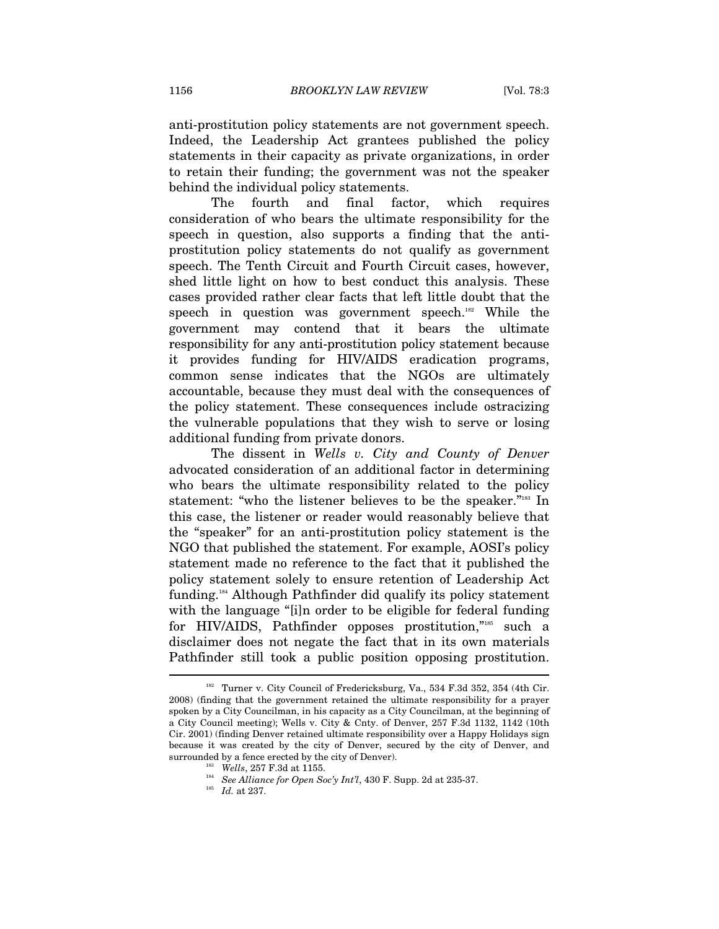anti-prostitution policy statements are not government speech. Indeed, the Leadership Act grantees published the policy statements in their capacity as private organizations, in order to retain their funding; the government was not the speaker behind the individual policy statements.

The fourth and final factor, which requires consideration of who bears the ultimate responsibility for the speech in question, also supports a finding that the antiprostitution policy statements do not qualify as government speech. The Tenth Circuit and Fourth Circuit cases, however, shed little light on how to best conduct this analysis. These cases provided rather clear facts that left little doubt that the speech in question was government speech.<sup>182</sup> While the government may contend that it bears the ultimate responsibility for any anti-prostitution policy statement because it provides funding for HIV/AIDS eradication programs, common sense indicates that the NGOs are ultimately accountable, because they must deal with the consequences of the policy statement. These consequences include ostracizing the vulnerable populations that they wish to serve or losing additional funding from private donors.

The dissent in *Wells v. City and County of Denver* advocated consideration of an additional factor in determining who bears the ultimate responsibility related to the policy statement: "who the listener believes to be the speaker."<sup>183</sup> In this case, the listener or reader would reasonably believe that the "speaker" for an anti-prostitution policy statement is the NGO that published the statement. For example, AOSI's policy statement made no reference to the fact that it published the policy statement solely to ensure retention of Leadership Act funding.184 Although Pathfinder did qualify its policy statement with the language "[i]n order to be eligible for federal funding for HIV/AIDS, Pathfinder opposes prostitution,"185 such a disclaimer does not negate the fact that in its own materials Pathfinder still took a public position opposing prostitution.  $\overline{a}$ 

 $182$  Turner v. City Council of Fredericksburg, Va., 534 F.3d 352, 354 (4th Cir. 2008) (finding that the government retained the ultimate responsibility for a prayer spoken by a City Councilman, in his capacity as a City Councilman, at the beginning of a City Council meeting); Wells v. City & Cnty. of Denver, 257 F.3d 1132, 1142 (10th Cir. 2001) (finding Denver retained ultimate responsibility over a Happy Holidays sign because it was created by the city of Denver, secured by the city of Denver, and surrounded by a fence erected by the city of Denver).<br><sup>183</sup> Wells, 257 F.3d at 1155.<br><sup>184</sup> See Alliance for Open Soc'y Int'l, 430 F. Supp. 2d at 235-37.<br><sup>185</sup> Id. at 237.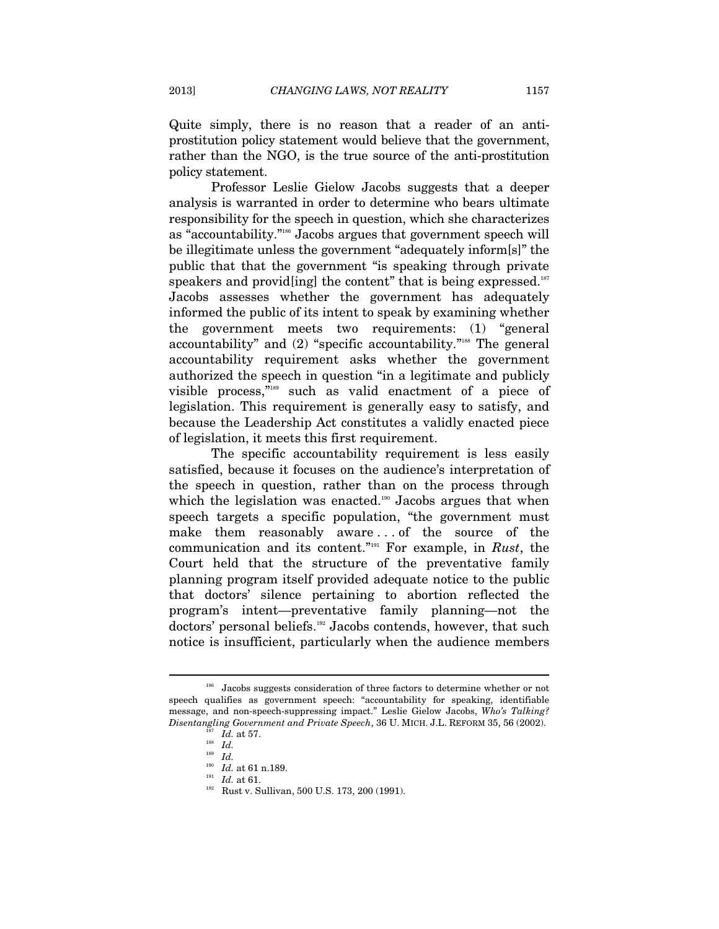Quite simply, there is no reason that a reader of an antiprostitution policy statement would believe that the government, rather than the NGO, is the true source of the anti-prostitution policy statement.

Professor Leslie Gielow Jacobs suggests that a deeper analysis is warranted in order to determine who bears ultimate responsibility for the speech in question, which she characterizes as "accountability."186 Jacobs argues that government speech will be illegitimate unless the government "adequately inform[s]" the public that that the government "is speaking through private speakers and provide ing the content" that is being expressed.<sup>187</sup> Jacobs assesses whether the government has adequately informed the public of its intent to speak by examining whether the government meets two requirements: (1) "general accountability" and (2) "specific accountability."188 The general accountability requirement asks whether the government authorized the speech in question "in a legitimate and publicly visible process,"189 such as valid enactment of a piece of legislation. This requirement is generally easy to satisfy, and because the Leadership Act constitutes a validly enacted piece of legislation, it meets this first requirement.

The specific accountability requirement is less easily satisfied, because it focuses on the audience's interpretation of the speech in question, rather than on the process through which the legislation was enacted.<sup>190</sup> Jacobs argues that when speech targets a specific population, "the government must make them reasonably aware . . . of the source of the communication and its content."191 For example, in *Rust*, the Court held that the structure of the preventative family planning program itself provided adequate notice to the public that doctors' silence pertaining to abortion reflected the program's intent—preventative family planning—not the doctors' personal beliefs.192 Jacobs contends, however, that such notice is insufficient, particularly when the audience members

<sup>&</sup>lt;sup>186</sup> Jacobs suggests consideration of three factors to determine whether or not speech qualifies as government speech: "accountability for speaking, identifiable message, and non-speech-suppressing impact." Leslie Gielow Jacobs, *Who's Talking? Disentangling Government and Private Speech*, 36 U. MICH. J.L. REFORM 35, 56 (2002).

<sup>187</sup> *Id.* at 57. 188 *Id.*

 $\frac{189}{190}$  *Id.* at 61 n.189.

<sup>&</sup>lt;sup>191</sup> *Id.* at 61.<br><sup>192</sup> Rust v. Sullivan, 500 U.S. 173, 200 (1991).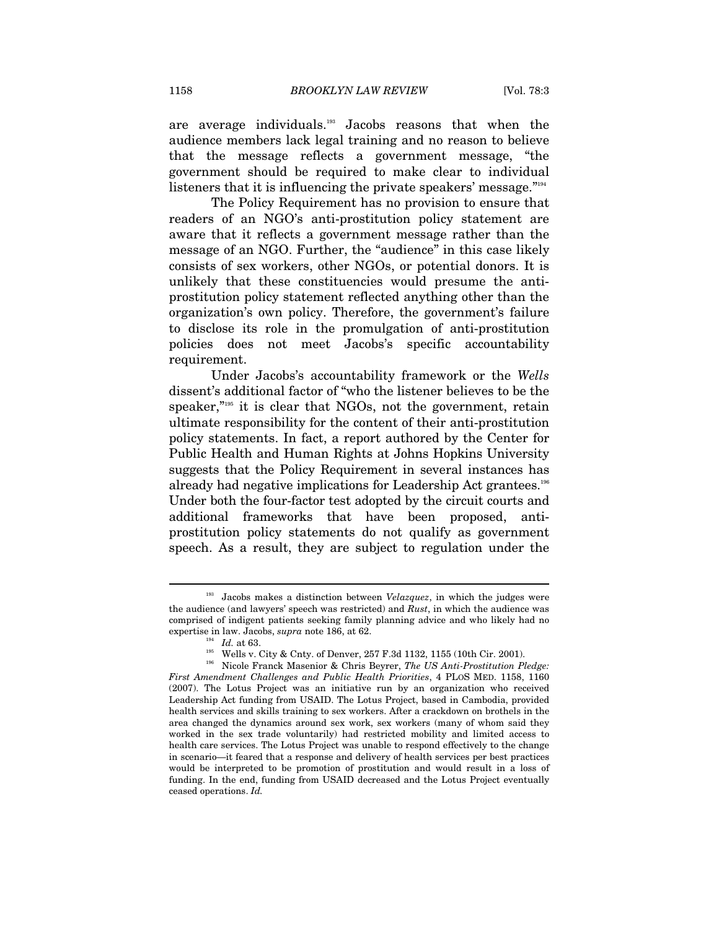are average individuals.193 Jacobs reasons that when the audience members lack legal training and no reason to believe that the message reflects a government message, "the government should be required to make clear to individual listeners that it is influencing the private speakers' message."<sup>194</sup>

The Policy Requirement has no provision to ensure that readers of an NGO's anti-prostitution policy statement are aware that it reflects a government message rather than the message of an NGO. Further, the "audience" in this case likely consists of sex workers, other NGOs, or potential donors. It is unlikely that these constituencies would presume the antiprostitution policy statement reflected anything other than the organization's own policy. Therefore, the government's failure to disclose its role in the promulgation of anti-prostitution policies does not meet Jacobs's specific accountability requirement.

Under Jacobs's accountability framework or the *Wells* dissent's additional factor of "who the listener believes to be the speaker,"<sup>195</sup> it is clear that NGOs, not the government, retain ultimate responsibility for the content of their anti-prostitution policy statements. In fact, a report authored by the Center for Public Health and Human Rights at Johns Hopkins University suggests that the Policy Requirement in several instances has already had negative implications for Leadership Act grantees.<sup>196</sup> Under both the four-factor test adopted by the circuit courts and additional frameworks that have been proposed, antiprostitution policy statements do not qualify as government speech. As a result, they are subject to regulation under the

<sup>193</sup> Jacobs makes a distinction between *Velazquez*, in which the judges were the audience (and lawyers' speech was restricted) and *Rust*, in which the audience was comprised of indigent patients seeking family planning advice and who likely had no

expertise in law. Jacobs, *supra* note 186, at 62.<br>
<sup>194</sup> *Id.* at 63.<br>
<sup>195</sup> Wells v. City & Cnty. of Denver, 257 F.3d 1132, 1155 (10th Cir. 2001).<br>
<sup>196</sup> Nicole Franck Masenior & Chris Beyrer, *The US Anti-Prostitution First Amendment Challenges and Public Health Priorities*, 4 PLOS MED. 1158, 1160 (2007). The Lotus Project was an initiative run by an organization who received Leadership Act funding from USAID. The Lotus Project, based in Cambodia, provided health services and skills training to sex workers. After a crackdown on brothels in the area changed the dynamics around sex work, sex workers (many of whom said they worked in the sex trade voluntarily) had restricted mobility and limited access to health care services. The Lotus Project was unable to respond effectively to the change in scenario—it feared that a response and delivery of health services per best practices would be interpreted to be promotion of prostitution and would result in a loss of funding. In the end, funding from USAID decreased and the Lotus Project eventually ceased operations. *Id.*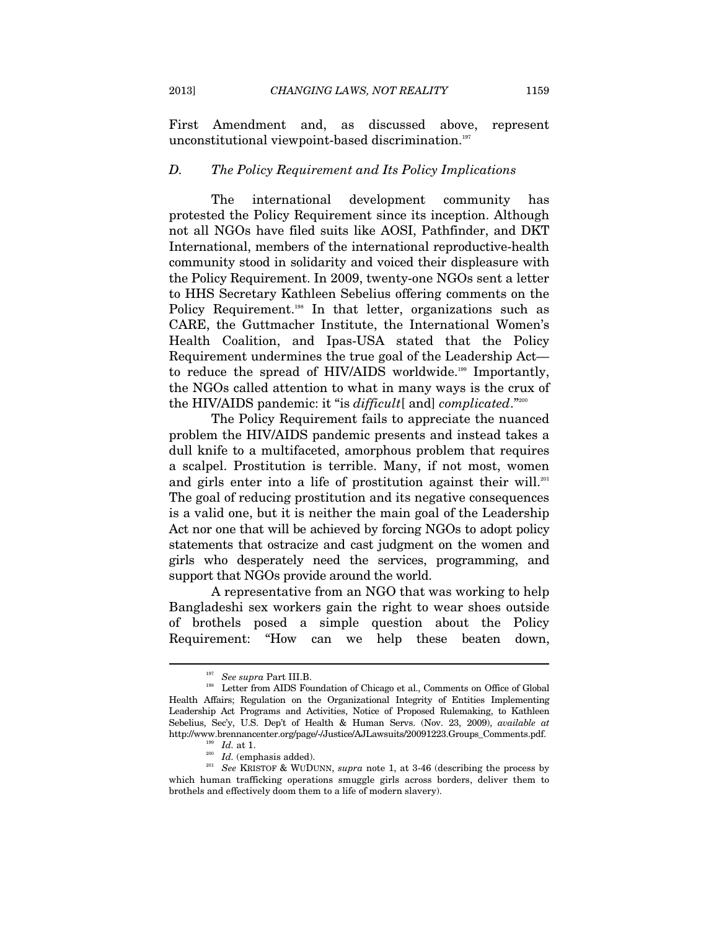First Amendment and, as discussed above, represent unconstitutional viewpoint-based discrimination.<sup>197</sup>

#### *D. The Policy Requirement and Its Policy Implications*

The international development community has protested the Policy Requirement since its inception. Although not all NGOs have filed suits like AOSI, Pathfinder, and DKT International, members of the international reproductive-health community stood in solidarity and voiced their displeasure with the Policy Requirement. In 2009, twenty-one NGOs sent a letter to HHS Secretary Kathleen Sebelius offering comments on the Policy Requirement.<sup>198</sup> In that letter, organizations such as CARE, the Guttmacher Institute, the International Women's Health Coalition, and Ipas-USA stated that the Policy Requirement undermines the true goal of the Leadership Act to reduce the spread of HIV/AIDS worldwide.<sup>199</sup> Importantly, the NGOs called attention to what in many ways is the crux of the HIV/AIDS pandemic: it "is *difficult*[ and] *complicated*."200

The Policy Requirement fails to appreciate the nuanced problem the HIV/AIDS pandemic presents and instead takes a dull knife to a multifaceted, amorphous problem that requires a scalpel. Prostitution is terrible. Many, if not most, women and girls enter into a life of prostitution against their will.<sup>201</sup> The goal of reducing prostitution and its negative consequences is a valid one, but it is neither the main goal of the Leadership Act nor one that will be achieved by forcing NGOs to adopt policy statements that ostracize and cast judgment on the women and girls who desperately need the services, programming, and support that NGOs provide around the world.

A representative from an NGO that was working to help Bangladeshi sex workers gain the right to wear shoes outside of brothels posed a simple question about the Policy Requirement: "How can we help these beaten down,

<sup>&</sup>lt;sup>197</sup> See supra Part III.B.<br><sup>198</sup> Letter from AIDS Foundation of Chicago et al., Comments on Office of Global Health Affairs; Regulation on the Organizational Integrity of Entities Implementing Leadership Act Programs and Activities, Notice of Proposed Rulemaking, to Kathleen Sebelius, Sec'y, U.S. Dep't of Health & Human Servs. (Nov. 23, 2009), *available at* http://www.brennancenter.org/page/-/Justice/AJLawsuits/20091223.Groups\_Comments.pdf.

<sup>&</sup>lt;sup>199</sup> *Id.* at 1.<br><sup>200</sup> *Id.* (emphasis added).<br><sup>201</sup> *See* KRISTOF & WUDUNN, *supra* note 1, at 3-46 (describing the process by which human trafficking operations smuggle girls across borders, deliver them to brothels and effectively doom them to a life of modern slavery).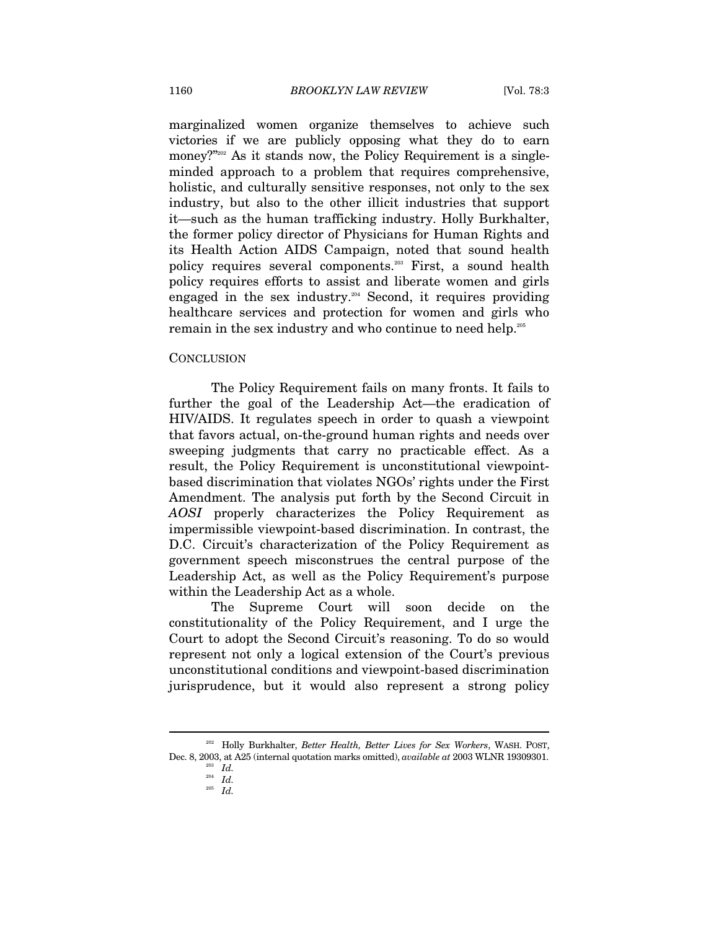marginalized women organize themselves to achieve such victories if we are publicly opposing what they do to earn money?"<sup>2020</sup> As it stands now, the Policy Requirement is a singleminded approach to a problem that requires comprehensive, holistic, and culturally sensitive responses, not only to the sex industry, but also to the other illicit industries that support it—such as the human trafficking industry. Holly Burkhalter, the former policy director of Physicians for Human Rights and its Health Action AIDS Campaign, noted that sound health policy requires several components.<sup>203</sup> First, a sound health policy requires efforts to assist and liberate women and girls engaged in the sex industry.<sup>204</sup> Second, it requires providing healthcare services and protection for women and girls who remain in the sex industry and who continue to need help.205

#### **CONCLUSION**

The Policy Requirement fails on many fronts. It fails to further the goal of the Leadership Act—the eradication of HIV/AIDS. It regulates speech in order to quash a viewpoint that favors actual, on-the-ground human rights and needs over sweeping judgments that carry no practicable effect. As a result, the Policy Requirement is unconstitutional viewpointbased discrimination that violates NGOs' rights under the First Amendment. The analysis put forth by the Second Circuit in *AOSI* properly characterizes the Policy Requirement as impermissible viewpoint-based discrimination. In contrast, the D.C. Circuit's characterization of the Policy Requirement as government speech misconstrues the central purpose of the Leadership Act, as well as the Policy Requirement's purpose within the Leadership Act as a whole.

The Supreme Court will soon decide on the constitutionality of the Policy Requirement, and I urge the Court to adopt the Second Circuit's reasoning. To do so would represent not only a logical extension of the Court's previous unconstitutional conditions and viewpoint-based discrimination jurisprudence, but it would also represent a strong policy

<sup>202</sup> Holly Burkhalter, *Better Health, Better Lives for Sex Workers*, WASH. POST, Dec. 8, 2003, at A25 (internal quotation marks omitted), *available at* 2003 WLNR 19309301.

 $\int_{204}^{203} \frac{Id}{Id}$ .

<sup>205</sup> *Id.*